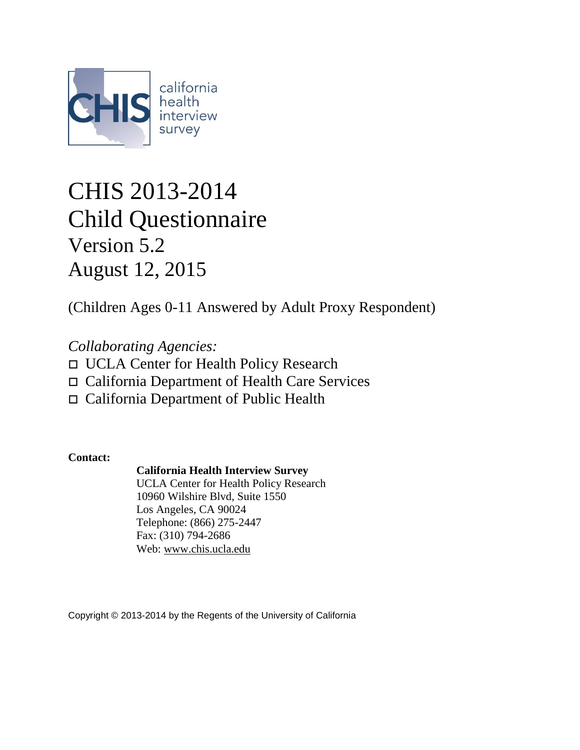

# CHIS 2013-2014 Child Questionnaire Version 5.2 August 12, 2015

(Children Ages 0-11 Answered by Adult Proxy Respondent)

*Collaborating Agencies:* UCLA Center for Health Policy Research California Department of Health Care Services California Department of Public Health

**Contact:**

### **California Health Interview Survey**

UCLA Center for Health Policy Research 10960 Wilshire Blvd, Suite 1550 Los Angeles, CA 90024 Telephone: (866) 275-2447 Fax: (310) 794-2686 Web: [www.chis.ucla.edu](http://www.chis.ucla.edu/)

Copyright © 2013-2014 by the Regents of the University of California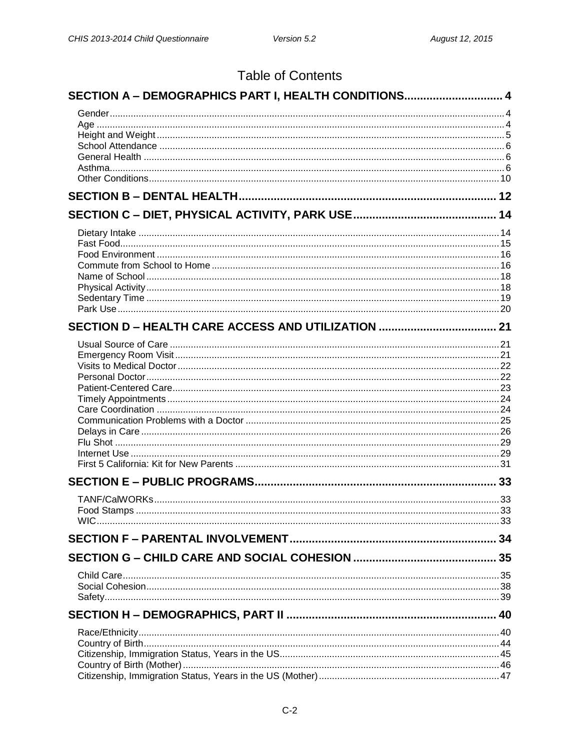## **Table of Contents**

| SECTION A - DEMOGRAPHICS PART I, HEALTH CONDITIONS 4 |    |
|------------------------------------------------------|----|
|                                                      |    |
|                                                      |    |
|                                                      |    |
|                                                      |    |
|                                                      |    |
|                                                      |    |
|                                                      |    |
|                                                      |    |
|                                                      |    |
|                                                      |    |
|                                                      |    |
|                                                      |    |
|                                                      |    |
|                                                      |    |
|                                                      |    |
|                                                      |    |
|                                                      |    |
|                                                      |    |
|                                                      |    |
|                                                      |    |
|                                                      |    |
|                                                      |    |
|                                                      |    |
|                                                      |    |
|                                                      |    |
|                                                      |    |
|                                                      |    |
|                                                      |    |
| Food Stamps                                          | 33 |
|                                                      |    |
|                                                      |    |
|                                                      |    |
|                                                      |    |
|                                                      |    |
|                                                      |    |
|                                                      |    |
|                                                      |    |
|                                                      |    |
|                                                      |    |
|                                                      |    |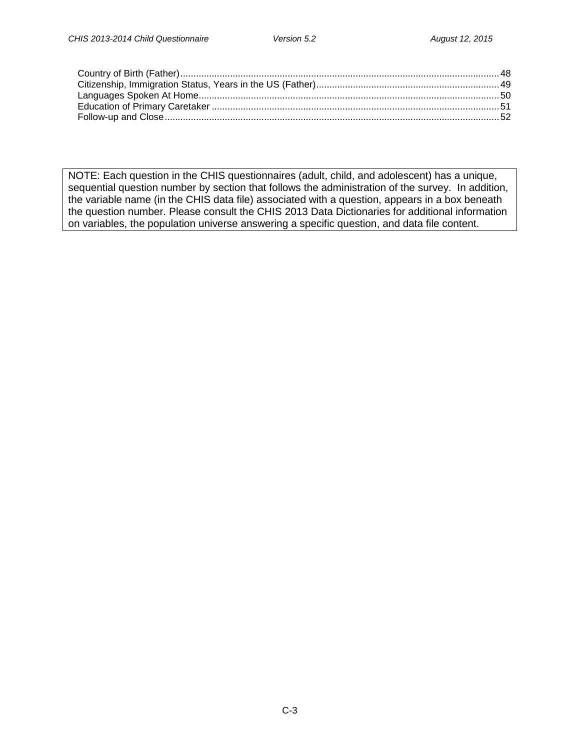NOTE: Each question in the CHIS questionnaires (adult, child, and adolescent) has a unique, sequential question number by section that follows the administration of the survey. In addition, the variable name (in the CHIS data file) associated with a question, appears in a box beneath the question number. Please consult the CHIS 2013 Data Dictionaries for additional information on variables, the population universe answering a specific question, and data file content.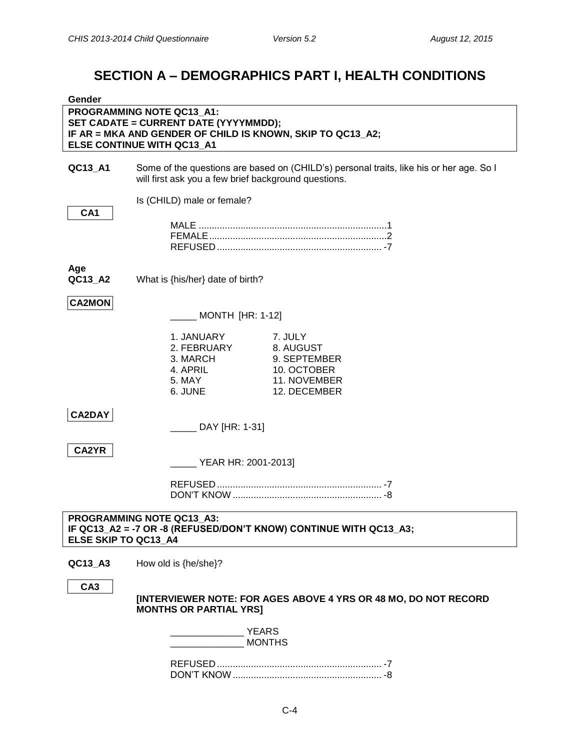## **SECTION A – DEMOGRAPHICS PART I, HEALTH CONDITIONS**

<span id="page-3-2"></span><span id="page-3-1"></span><span id="page-3-0"></span>

| Gender               |                                                                                                                                                                |                                                                                         |
|----------------------|----------------------------------------------------------------------------------------------------------------------------------------------------------------|-----------------------------------------------------------------------------------------|
|                      | PROGRAMMING NOTE QC13_A1:<br>SET CADATE = CURRENT DATE (YYYYMMDD);<br>IF AR = MKA AND GENDER OF CHILD IS KNOWN, SKIP TO QC13_A2;<br>ELSE CONTINUE WITH QC13_A1 |                                                                                         |
| QC13_A1              | will first ask you a few brief background questions.                                                                                                           | Some of the questions are based on (CHILD's) personal traits, like his or her age. So I |
| CA <sub>1</sub>      | Is (CHILD) male or female?                                                                                                                                     |                                                                                         |
|                      |                                                                                                                                                                |                                                                                         |
| Age<br>QC13_A2       | What is {his/her} date of birth?                                                                                                                               |                                                                                         |
| <b>CA2MON</b>        | <b>MONTH [HR: 1-12]</b>                                                                                                                                        |                                                                                         |
|                      | 1. JANUARY<br>2. FEBRUARY<br>3. MARCH<br>4. APRIL<br>5. MAY<br>6. JUNE                                                                                         | 7. JULY<br>8. AUGUST<br>9. SEPTEMBER<br>10. OCTOBER<br>11. NOVEMBER<br>12. DECEMBER     |
| <b>CA2DAY</b>        | _____ DAY [HR: 1-31]                                                                                                                                           |                                                                                         |
| CA2YR                | YEAR HR: 2001-2013]                                                                                                                                            |                                                                                         |
|                      |                                                                                                                                                                |                                                                                         |
| ELSE SKIP TO QC13_A4 | PROGRAMMING NOTE QC13_A3:                                                                                                                                      | IF QC13_A2 = -7 OR -8 (REFUSED/DON'T KNOW) CONTINUE WITH QC13_A3;                       |
| QC13_A3              | How old is {he/she}?                                                                                                                                           |                                                                                         |
| CA <sub>3</sub>      | <b>MONTHS OR PARTIAL YRSI</b>                                                                                                                                  | [INTERVIEWER NOTE: FOR AGES ABOVE 4 YRS OR 48 MO, DO NOT RECORD                         |
|                      | <b>YEARS</b>                                                                                                                                                   | <b>MONTHS</b>                                                                           |
|                      |                                                                                                                                                                |                                                                                         |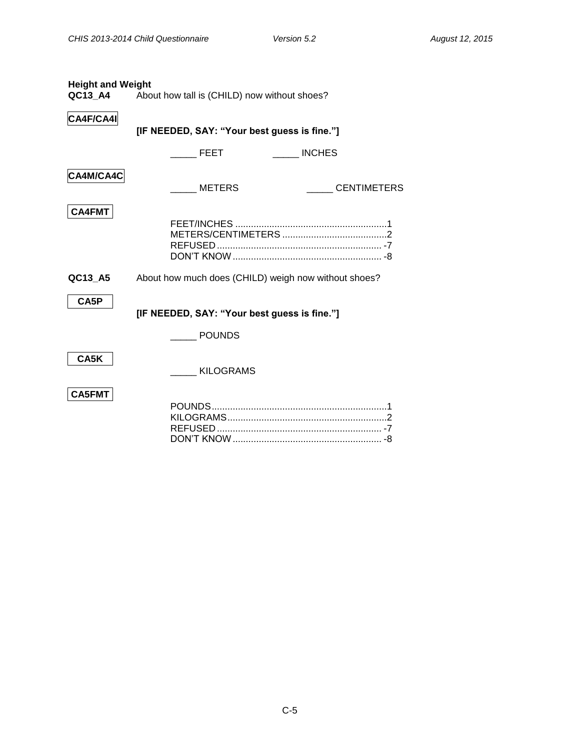<span id="page-4-0"></span>

| <b>Height and Weight</b> | <b>QC13_A4</b> About how tall is (CHILD) now without shoes? |
|--------------------------|-------------------------------------------------------------|
| CA4F/CA4I                | [IF NEEDED, SAY: "Your best guess is fine."]                |
|                          | <b>INCHES</b><br><b>FEET</b>                                |
| CA4M/CA4C                | METERS<br><b>CENTIMETERS</b>                                |
| <b>CA4FMT</b>            |                                                             |
| QC13 A5                  | About how much does (CHILD) weigh now without shoes?        |
| CA5P                     | [IF NEEDED, SAY: "Your best guess is fine."]                |
|                          | <b>POUNDS</b>                                               |
| CA5K                     | <b>KILOGRAMS</b>                                            |
| <b>CA5FMT</b>            |                                                             |

DON'T KNOW......................................................... -8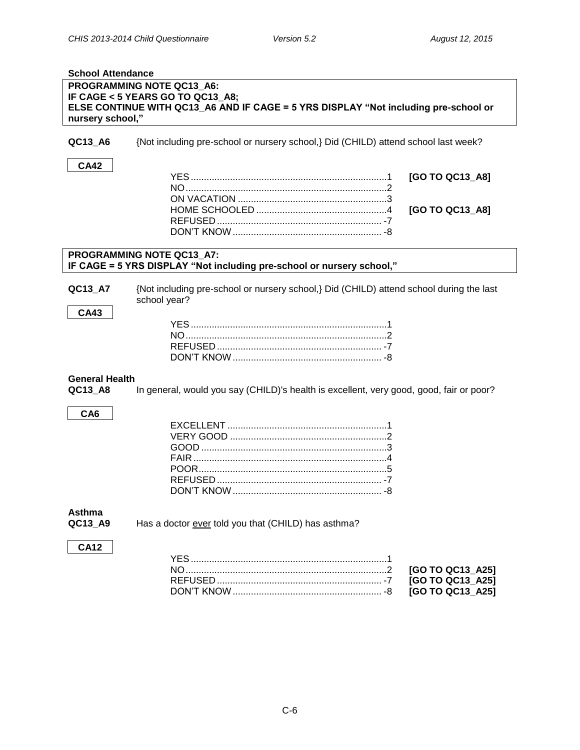<span id="page-5-0"></span>

| <b>School Attendance</b> |                                                                                         |  |
|--------------------------|-----------------------------------------------------------------------------------------|--|
|                          | PROGRAMMING NOTE QC13_A6:                                                               |  |
|                          | IF CAGE < 5 YEARS GO TO QC13_A8;                                                        |  |
|                          | ELSE CONTINUE WITH QC13_A6 AND IF CAGE = 5 YRS DISPLAY "Not including pre-school or     |  |
| nursery school,"         |                                                                                         |  |
|                          |                                                                                         |  |
| QC13_A6                  | {Not including pre-school or nursery school,} Did (CHILD) attend school last week?      |  |
|                          |                                                                                         |  |
| <b>CA42</b>              |                                                                                         |  |
|                          | [GO TO QC13_A8]                                                                         |  |
|                          |                                                                                         |  |
|                          |                                                                                         |  |
|                          |                                                                                         |  |
|                          | [GO TO QC13_A8]                                                                         |  |
|                          |                                                                                         |  |
|                          |                                                                                         |  |
|                          |                                                                                         |  |
|                          | PROGRAMMING NOTE QC13_A7:                                                               |  |
|                          | IF CAGE = 5 YRS DISPLAY "Not including pre-school or nursery school,"                   |  |
|                          |                                                                                         |  |
| QC13_A7                  | {Not including pre-school or nursery school,} Did (CHILD) attend school during the last |  |
|                          | school year?                                                                            |  |
| <b>CA43</b>              |                                                                                         |  |
|                          |                                                                                         |  |
|                          |                                                                                         |  |
|                          |                                                                                         |  |
|                          |                                                                                         |  |
|                          |                                                                                         |  |
| <b>General Health</b>    |                                                                                         |  |
|                          |                                                                                         |  |
| QC13_A8                  | In general, would you say (CHILD)'s health is excellent, very good, good, fair or poor? |  |
|                          |                                                                                         |  |
| CA <sub>6</sub>          |                                                                                         |  |
|                          |                                                                                         |  |
|                          |                                                                                         |  |
|                          |                                                                                         |  |
|                          |                                                                                         |  |
|                          |                                                                                         |  |
|                          |                                                                                         |  |
|                          | DON'T KNOW                                                                              |  |
|                          |                                                                                         |  |
| Asthma                   |                                                                                         |  |
| QC13_A9                  | Has a doctor ever told you that (CHILD) has asthma?                                     |  |
|                          |                                                                                         |  |
|                          |                                                                                         |  |
| <b>CA12</b>              |                                                                                         |  |
|                          |                                                                                         |  |
|                          | [GO TO QC13_A25]                                                                        |  |
|                          | [GO TO QC13_A25]                                                                        |  |

DON'T KNOW......................................................... -8 **[GO TO QC13\_A25]**

<span id="page-5-2"></span><span id="page-5-1"></span>REFUSED ............................................................... -7 **[GO TO QC13\_A25]**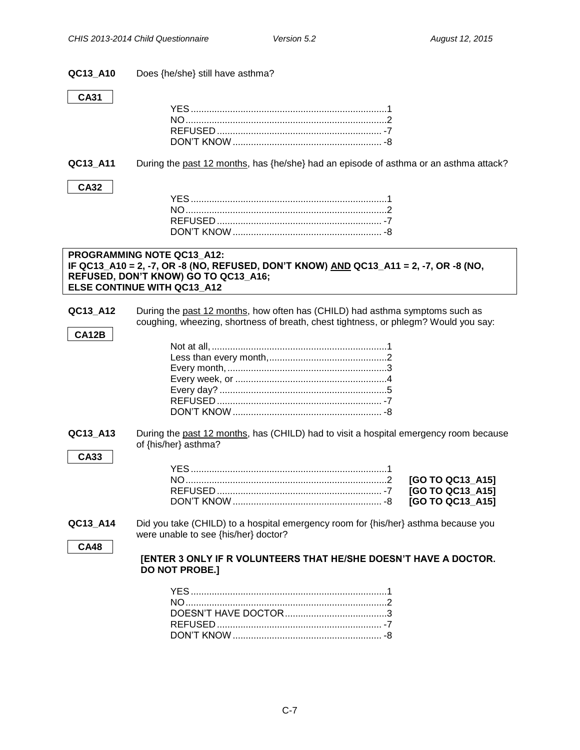| QC13 A10 |  |  | Does {he/she} still have asthma? |
|----------|--|--|----------------------------------|
|          |  |  |                                  |

#### **CA31**

**CA32**

**QC13\_A11** During the past 12 months, has {he/she} had an episode of asthma or an asthma attack?

#### **PROGRAMMING NOTE QC13\_A12: IF QC13\_A10 = 2, -7, OR -8 (NO, REFUSED, DON'T KNOW) AND QC13\_A11 = 2, -7, OR -8 (NO, REFUSED, DON'T KNOW) GO TO QC13\_A16; ELSE CONTINUE WITH QC13\_A12**

**QC13\_A12** During the past 12 months, how often has (CHILD) had asthma symptoms such as coughing, wheezing, shortness of breath, chest tightness, or phlegm? Would you say:

**QC13\_A13** During the past 12 months, has (CHILD) had to visit a hospital emergency room because of {his/her} asthma?

#### **CA33**

**CA12B**

**QC13\_A14** Did you take (CHILD) to a hospital emergency room for {his/her} asthma because you were unable to see {his/her} doctor?

**CA48**

#### **[ENTER 3 ONLY IF R VOLUNTEERS THAT HE/SHE DOESN'T HAVE A DOCTOR. DO NOT PROBE.]**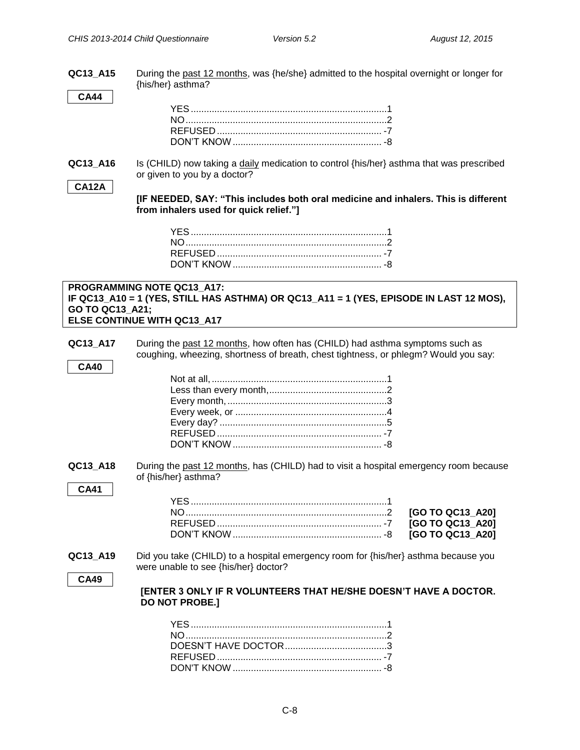**QC13\_A15** During the past 12 months, was {he/she} admitted to the hospital overnight or longer for {his/her} asthma?

**CA44**

**QC13** A16 Is (CHILD) now taking a daily medication to control {his/her} asthma that was prescribed or given to you by a doctor?

#### **CA12A**

**[IF NEEDED, SAY: "This includes both oral medicine and inhalers. This is different from inhalers used for quick relief."]**

#### **PROGRAMMING NOTE QC13\_A17: IF QC13\_A10 = 1 (YES, STILL HAS ASTHMA) OR QC13\_A11 = 1 (YES, EPISODE IN LAST 12 MOS), GO TO QC13\_A21; ELSE CONTINUE WITH QC13\_A17**

**QC13\_A17** During the past 12 months, how often has (CHILD) had asthma symptoms such as coughing, wheezing, shortness of breath, chest tightness, or phlegm? Would you say:

**QC13\_A18** During the past 12 months, has (CHILD) had to visit a hospital emergency room because of {his/her} asthma?

**CA41**

**CA40**

**QC13\_A19** Did you take (CHILD) to a hospital emergency room for {his/her} asthma because you were unable to see {his/her} doctor?

**CA49**

|                       | <b>[ENTER 3 ONLY IF R VOLUNTEERS THAT HE/SHE DOESN'T HAVE A DOCTOR.</b> |  |  |
|-----------------------|-------------------------------------------------------------------------|--|--|
| <b>DO NOT PROBE.]</b> |                                                                         |  |  |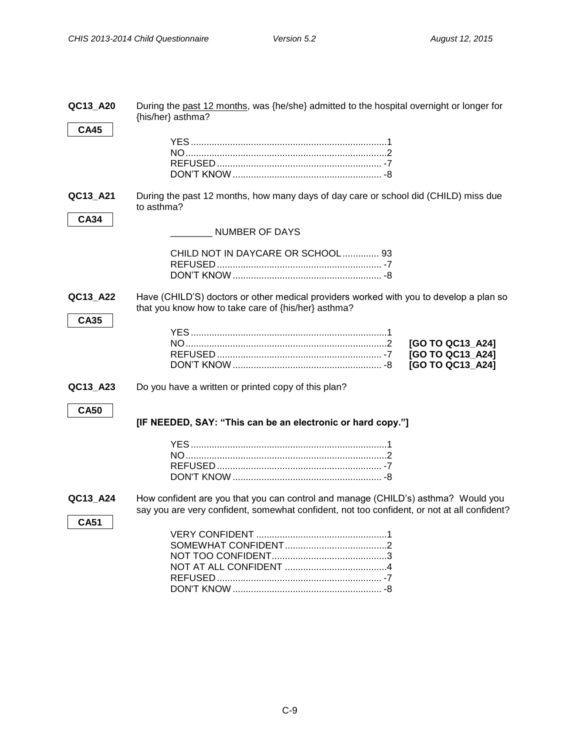| QC13_A20<br><b>CA45</b> | During the past 12 months, was {he/she} admitted to the hospital overnight or longer for<br>{his/her} asthma?                                                                    |
|-------------------------|----------------------------------------------------------------------------------------------------------------------------------------------------------------------------------|
|                         |                                                                                                                                                                                  |
| QC13_A21                | During the past 12 months, how many days of day care or school did (CHILD) miss due<br>to asthma?                                                                                |
| <b>CA34</b>             | <b>NUMBER OF DAYS</b>                                                                                                                                                            |
|                         | CHILD NOT IN DAYCARE OR SCHOOL 93                                                                                                                                                |
| QC13_A22<br><b>CA35</b> | Have (CHILD'S) doctors or other medical providers worked with you to develop a plan so<br>that you know how to take care of {his/her} asthma?                                    |
|                         | [GO TO QC13_A24]<br>[GO TO QC13_A24]<br>[GO TO QC13 A24]                                                                                                                         |
| QC13_A23                | Do you have a written or printed copy of this plan?                                                                                                                              |
| <b>CA50</b>             | [IF NEEDED, SAY: "This can be an electronic or hard copy."]                                                                                                                      |
|                         |                                                                                                                                                                                  |
| QC13_A24<br><b>CA51</b> | How confident are you that you can control and manage (CHILD's) asthma? Would you<br>say you are very confident, somewhat confident, not too confident, or not at all confident? |
|                         |                                                                                                                                                                                  |

DON'T KNOW ......................................................... -8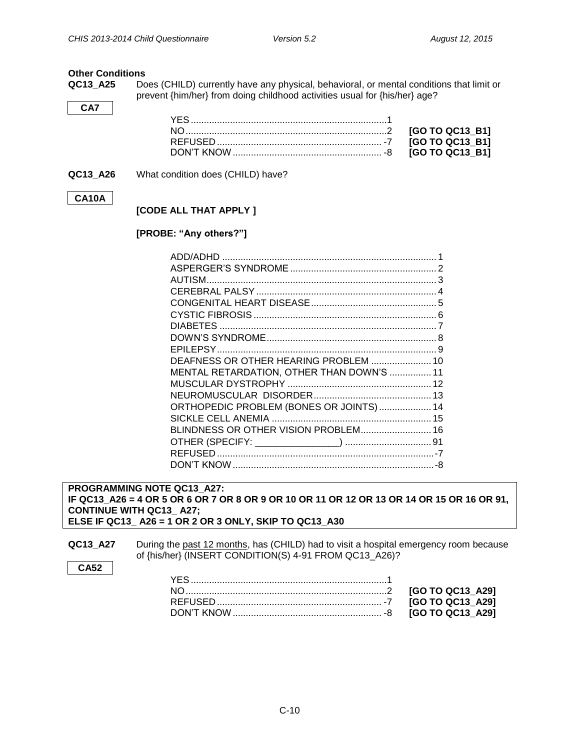#### <span id="page-9-0"></span>**Other Conditions**

**QC13\_A25** Does (CHILD) currently have any physical, behavioral, or mental conditions that limit or prevent {him/her} from doing childhood activities usual for {his/her} age?

**QC13 A26** What condition does (CHILD) have?

#### **CA10A**

**CA7**

#### **[CODE ALL THAT APPLY ]**

#### **[PROBE: "Any others?"]**

| DEAFNESS OR OTHER HEARING PROBLEM  10     |  |
|-------------------------------------------|--|
| MENTAL RETARDATION, OTHER THAN DOWN'S  11 |  |
|                                           |  |
|                                           |  |
| ORTHOPEDIC PROBLEM (BONES OR JOINTS)  14  |  |
|                                           |  |
| BLINDNESS OR OTHER VISION PROBLEM 16      |  |
|                                           |  |
|                                           |  |
|                                           |  |

**PROGRAMMING NOTE QC13\_A27: IF QC13\_A26 = 4 OR 5 OR 6 OR 7 OR 8 OR 9 OR 10 OR 11 OR 12 OR 13 OR 14 OR 15 OR 16 OR 91, CONTINUE WITH QC13\_ A27; ELSE IF QC13\_ A26 = 1 OR 2 OR 3 ONLY, SKIP TO QC13\_A30**

**QC13\_A27** During the past 12 months, has (CHILD) had to visit a hospital emergency room because of {his/her} (INSERT CONDITION(S) 4-91 FROM QC13\_A26)?

**CA52**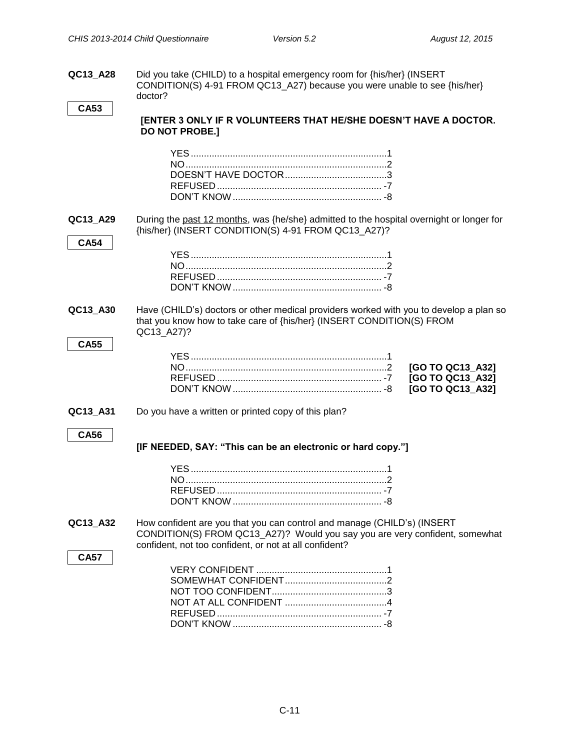**QC13\_A28** Did you take (CHILD) to a hospital emergency room for {his/her} (INSERT CONDITION(S) 4-91 FROM QC13\_A27) because you were unable to see {his/her} doctor?

```
CA53
```
#### **[ENTER 3 ONLY IF R VOLUNTEERS THAT HE/SHE DOESN'T HAVE A DOCTOR. DO NOT PROBE.]**

| QC13_A29<br><b>CA54</b> | During the past 12 months, was {he/she} admitted to the hospital overnight or longer for<br>{his/her} (INSERT CONDITION(S) 4-91 FROM QC13_A27)?                                                                  |                                                          |
|-------------------------|------------------------------------------------------------------------------------------------------------------------------------------------------------------------------------------------------------------|----------------------------------------------------------|
|                         |                                                                                                                                                                                                                  |                                                          |
| QC13_A30                | Have (CHILD's) doctors or other medical providers worked with you to develop a plan so<br>that you know how to take care of {his/her} (INSERT CONDITION(S) FROM<br>QC13_A27)?                                    |                                                          |
| <b>CA55</b>             |                                                                                                                                                                                                                  | [GO TO QC13_A32]<br>[GO TO QC13_A32]<br>[GO TO QC13_A32] |
| QC13_A31                | Do you have a written or printed copy of this plan?                                                                                                                                                              |                                                          |
| <b>CA56</b>             | [IF NEEDED, SAY: "This can be an electronic or hard copy."]                                                                                                                                                      |                                                          |
|                         |                                                                                                                                                                                                                  |                                                          |
| QC13_A32                | How confident are you that you can control and manage (CHILD's) (INSERT<br>CONDITION(S) FROM QC13_A27)? Would you say you are very confident, somewhat<br>confident, not too confident, or not at all confident? |                                                          |
| <b>CA57</b>             |                                                                                                                                                                                                                  |                                                          |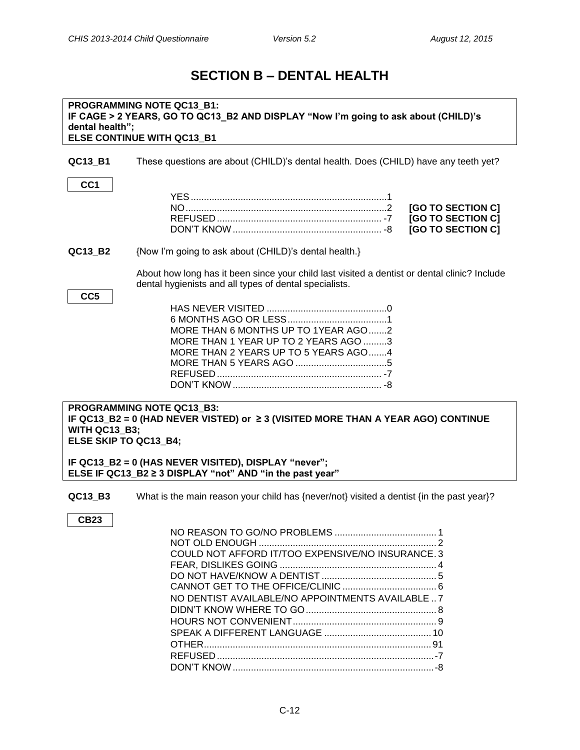### **SECTION B – DENTAL HEALTH**

#### <span id="page-11-0"></span>**PROGRAMMING NOTE QC13\_B1: IF CAGE > 2 YEARS, GO TO QC13\_B2 AND DISPLAY "Now I'm going to ask about (CHILD)'s dental health"; ELSE CONTINUE WITH QC13\_B1**

**QC13\_B1** These questions are about (CHILD)'s dental health. Does (CHILD) have any teeth yet?

YES...........................................................................1 NO.............................................................................2 **[GO TO SECTION C]** REFUSED ............................................................... -7 **[GO TO SECTION C]** DON'T KNOW......................................................... -8 **[GO TO SECTION C]**

**QC13 B2** {Now I'm going to ask about (CHILD)'s dental health.}

About how long has it been since your child last visited a dentist or dental clinic? Include dental hygienists and all types of dental specialists.

| ×<br>۰,<br>×<br>۰.<br>۰.<br>w |
|-------------------------------|
|-------------------------------|

**CC1**

| MORE THAN 6 MONTHS UP TO 1YEAR AGO2  |  |
|--------------------------------------|--|
| MORE THAN 1 YEAR UP TO 2 YEARS AGO 3 |  |
| MORE THAN 2 YEARS UP TO 5 YEARS AGO4 |  |
|                                      |  |
|                                      |  |
|                                      |  |
|                                      |  |

#### **PROGRAMMING NOTE QC13\_B3: IF QC13\_B2 = 0 (HAD NEVER VISTED) or ≥ 3 (VISITED MORE THAN A YEAR AGO) CONTINUE WITH QC13\_B3; ELSE SKIP TO QC13\_B4;**

**IF QC13\_B2 = 0 (HAS NEVER VISITED), DISPLAY "never"; ELSE IF QC13\_B2 ≥ 3 DISPLAY "not" AND "in the past year"**

**QC13 B3** What is the main reason your child has {never/not} visited a dentist {in the past year}?

**CB23**

| COULD NOT AFFORD IT/TOO EXPENSIVE/NO INSURANCE. 3 |
|---------------------------------------------------|
|                                                   |
|                                                   |
|                                                   |
| NO DENTIST AVAILABLE/NO APPOINTMENTS AVAILABLE  7 |
|                                                   |
|                                                   |
|                                                   |
|                                                   |
|                                                   |
|                                                   |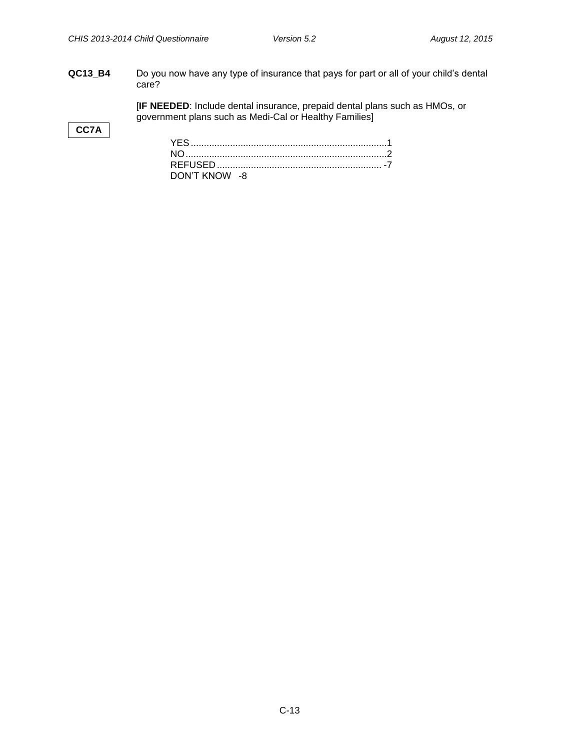**QC13\_B4** Do you now have any type of insurance that pays for part or all of your child's dental care?

> [**IF NEEDED**: Include dental insurance, prepaid dental plans such as HMOs, or government plans such as Medi-Cal or Healthy Families]

#### **CC7A**

| DON'T KNOW -8 |  |  |  |
|---------------|--|--|--|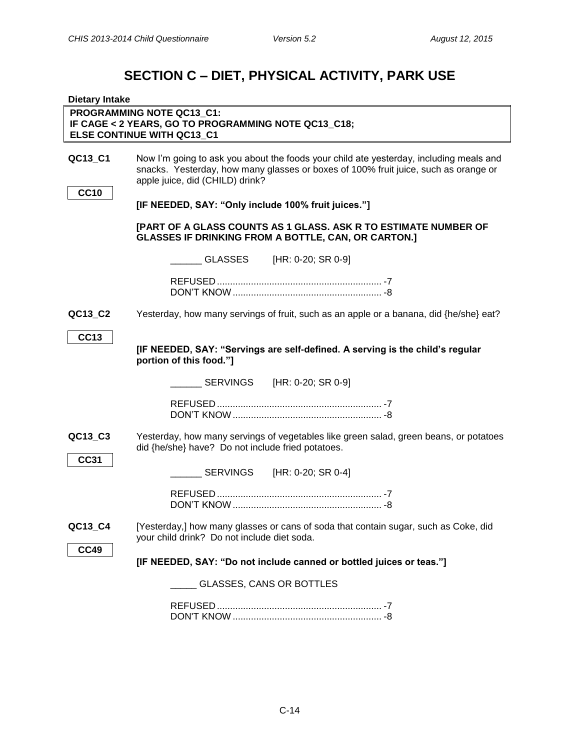## **SECTION C – DIET, PHYSICAL ACTIVITY, PARK USE**

<span id="page-13-1"></span><span id="page-13-0"></span>

| <b>Dietary Intake</b>  |                                                                                                                                                                                                                  |
|------------------------|------------------------------------------------------------------------------------------------------------------------------------------------------------------------------------------------------------------|
|                        | PROGRAMMING NOTE QC13_C1:<br>IF CAGE < 2 YEARS, GO TO PROGRAMMING NOTE QC13_C18;<br>ELSE CONTINUE WITH QC13_C1                                                                                                   |
| QC13_C1<br><b>CC10</b> | Now I'm going to ask you about the foods your child ate yesterday, including meals and<br>snacks. Yesterday, how many glasses or boxes of 100% fruit juice, such as orange or<br>apple juice, did (CHILD) drink? |
|                        | [IF NEEDED, SAY: "Only include 100% fruit juices."]                                                                                                                                                              |
|                        | [PART OF A GLASS COUNTS AS 1 GLASS. ASK R TO ESTIMATE NUMBER OF<br><b>GLASSES IF DRINKING FROM A BOTTLE, CAN, OR CARTON.]</b>                                                                                    |
|                        | _ GLASSES [HR: 0-20; SR 0-9]                                                                                                                                                                                     |
|                        |                                                                                                                                                                                                                  |
| QC13_C2                | Yesterday, how many servings of fruit, such as an apple or a banana, did {he/she} eat?                                                                                                                           |
| <b>CC13</b>            | [IF NEEDED, SAY: "Servings are self-defined. A serving is the child's regular<br>portion of this food."]                                                                                                         |
|                        |                                                                                                                                                                                                                  |
|                        |                                                                                                                                                                                                                  |
| QC13_C3<br><b>CC31</b> | Yesterday, how many servings of vegetables like green salad, green beans, or potatoes<br>did {he/she} have? Do not include fried potatoes.                                                                       |
|                        | SERVINGS [HR: 0-20; SR 0-4]                                                                                                                                                                                      |
|                        |                                                                                                                                                                                                                  |
| QC13_C4                | [Yesterday,] how many glasses or cans of soda that contain sugar, such as Coke, did<br>your child drink? Do not include diet soda.                                                                               |
| <b>CC49</b>            | [IF NEEDED, SAY: "Do not include canned or bottled juices or teas."]                                                                                                                                             |
|                        | <b>GLASSES, CANS OR BOTTLES</b>                                                                                                                                                                                  |
|                        |                                                                                                                                                                                                                  |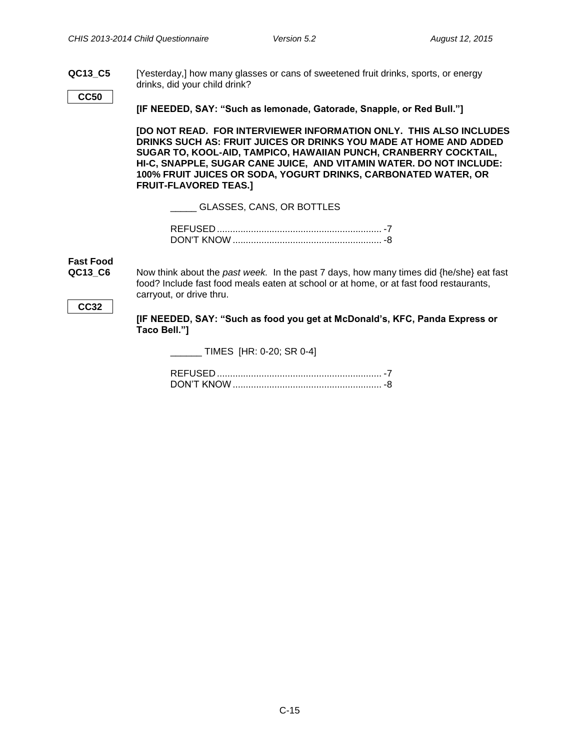**QC13\_C5** [Yesterday,] how many glasses or cans of sweetened fruit drinks, sports, or energy drinks, did your child drink?

**CC50**

**[IF NEEDED, SAY: "Such as lemonade, Gatorade, Snapple, or Red Bull."]**

**[DO NOT READ. FOR INTERVIEWER INFORMATION ONLY. THIS ALSO INCLUDES DRINKS SUCH AS: FRUIT JUICES OR DRINKS YOU MADE AT HOME AND ADDED SUGAR TO, KOOL-AID, TAMPICO, HAWAIIAN PUNCH, CRANBERRY COCKTAIL, HI-C, SNAPPLE, SUGAR CANE JUICE, AND VITAMIN WATER. DO NOT INCLUDE: 100% FRUIT JUICES OR SODA, YOGURT DRINKS, CARBONATED WATER, OR FRUIT-FLAVORED TEAS.]**

\_\_\_\_\_ GLASSES, CANS, OR BOTTLES

## <span id="page-14-0"></span>**Fast Food**

**QC13\_C6** Now think about the *past week.* In the past 7 days, how many times did {he/she} eat fast food? Include fast food meals eaten at school or at home, or at fast food restaurants, carryout, or drive thru.

#### <span id="page-14-1"></span>**CC32**

**[IF NEEDED, SAY: "Such as food you get at McDonald's, KFC, Panda Express or Taco Bell."]**

 $\_$  TIMES [HR: 0-20; SR 0-4]

REFUSED ............................................................... -7 DON'T KNOW......................................................... -8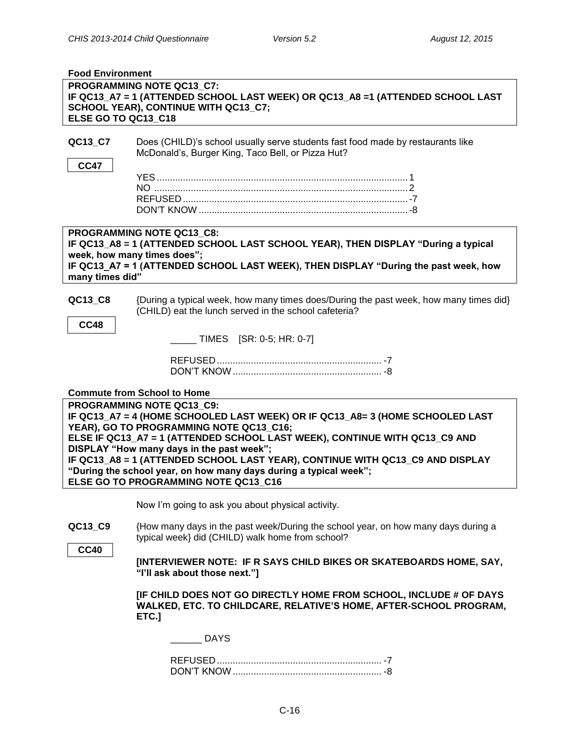<span id="page-15-0"></span>

| <b>Food Environment</b> |                                                                                                                                                                                                                                                                                                                                                                                                                                                                                |
|-------------------------|--------------------------------------------------------------------------------------------------------------------------------------------------------------------------------------------------------------------------------------------------------------------------------------------------------------------------------------------------------------------------------------------------------------------------------------------------------------------------------|
| ELSE GO TO QC13_C18     | PROGRAMMING NOTE QC13 C7:<br>IF QC13_A7 = 1 (ATTENDED SCHOOL LAST WEEK) OR QC13_A8 =1 (ATTENDED SCHOOL LAST<br>SCHOOL YEAR), CONTINUE WITH QC13_C7;                                                                                                                                                                                                                                                                                                                            |
| QC13_C7<br><b>CC47</b>  | Does (CHILD)'s school usually serve students fast food made by restaurants like<br>McDonald's, Burger King, Taco Bell, or Pizza Hut?                                                                                                                                                                                                                                                                                                                                           |
| many times did"         | <b>PROGRAMMING NOTE QC13 C8:</b><br>IF QC13_A8 = 1 (ATTENDED SCHOOL LAST SCHOOL YEAR), THEN DISPLAY "During a typical<br>week, how many times does";<br>IF QC13_A7 = 1 (ATTENDED SCHOOL LAST WEEK), THEN DISPLAY "During the past week, how                                                                                                                                                                                                                                    |
| QC13_C8<br><b>CC48</b>  | {During a typical week, how many times does/During the past week, how many times did}<br>(CHILD) eat the lunch served in the school cafeteria?<br>$\sqrt{10}$ TIMES [SR: 0-5; HR: 0-7]                                                                                                                                                                                                                                                                                         |
|                         | <b>Commute from School to Home</b>                                                                                                                                                                                                                                                                                                                                                                                                                                             |
|                         | PROGRAMMING NOTE QC13 C9:<br>IF QC13_A7 = 4 (HOME SCHOOLED LAST WEEK) OR IF QC13_A8= 3 (HOME SCHOOLED LAST<br>YEAR), GO TO PROGRAMMING NOTE QC13_C16;<br>ELSE IF QC13_A7 = 1 (ATTENDED SCHOOL LAST WEEK), CONTINUE WITH QC13_C9 AND<br>DISPLAY "How many days in the past week";<br>IF QC13_A8 = 1 (ATTENDED SCHOOL LAST YEAR), CONTINUE WITH QC13_C9 AND DISPLAY<br>"During the school year, on how many days during a typical week";<br>ELSE GO TO PROGRAMMING NOTE QC13 C16 |
| QC13_C9<br><b>CC40</b>  | Now I'm going to ask you about physical activity.<br>{How many days in the past week/During the school year, on how many days during a<br>typical week} did (CHILD) walk home from school?<br>[INTERVIEWER NOTE: IF R SAYS CHILD BIKES OR SKATEBOARDS HOME, SAY,<br>"I'll ask about those next."]                                                                                                                                                                              |
|                         | [IF CHILD DOES NOT GO DIRECTLY HOME FROM SCHOOL, INCLUDE # OF DAYS<br>WALKED, ETC. TO CHILDCARE, RELATIVE'S HOME, AFTER-SCHOOL PROGRAM,<br>ETC.]<br><b>DAYS</b>                                                                                                                                                                                                                                                                                                                |
|                         |                                                                                                                                                                                                                                                                                                                                                                                                                                                                                |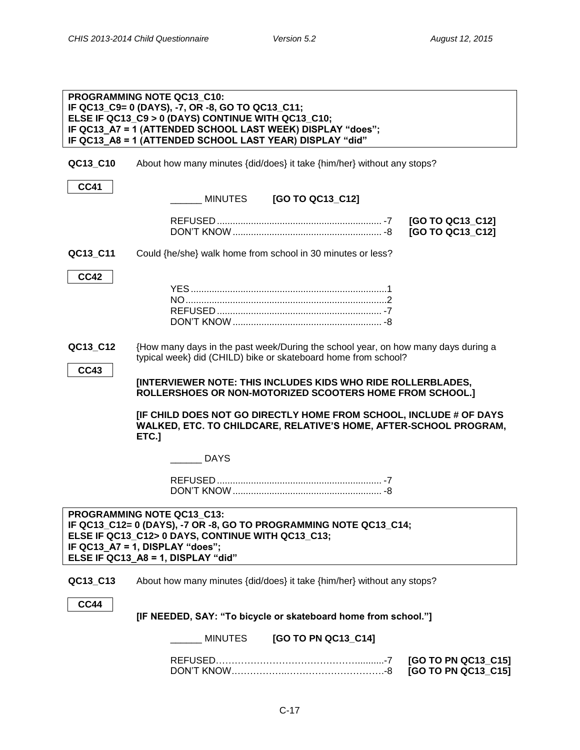|                         | PROGRAMMING NOTE QC13 C10:<br>IF QC13_C9= 0 (DAYS), -7, OR -8, GO TO QC13_C11;<br>ELSE IF QC13_C9 > 0 (DAYS) CONTINUE WITH QC13_C10;<br>IF QC13_A7 = 1 (ATTENDED SCHOOL LAST WEEK) DISPLAY "does";<br>IF QC13_A8 = 1 (ATTENDED SCHOOL LAST YEAR) DISPLAY "did"                  |                                            |
|-------------------------|---------------------------------------------------------------------------------------------------------------------------------------------------------------------------------------------------------------------------------------------------------------------------------|--------------------------------------------|
| QC13_C10                | About how many minutes {did/does} it take {him/her} without any stops?                                                                                                                                                                                                          |                                            |
| <b>CC41</b>             | MINUTES<br>[GO TO QC13_C12]                                                                                                                                                                                                                                                     |                                            |
|                         |                                                                                                                                                                                                                                                                                 | [GO TO QC13_C12]<br>[GO TO QC13_C12]       |
| QC13_C11                | Could {he/she} walk home from school in 30 minutes or less?                                                                                                                                                                                                                     |                                            |
| <b>CC42</b>             |                                                                                                                                                                                                                                                                                 |                                            |
| QC13_C12<br><b>CC43</b> | {How many days in the past week/During the school year, on how many days during a<br>typical week} did (CHILD) bike or skateboard home from school?<br>[INTERVIEWER NOTE: THIS INCLUDES KIDS WHO RIDE ROLLERBLADES,<br>ROLLERSHOES OR NON-MOTORIZED SCOOTERS HOME FROM SCHOOL.] |                                            |
|                         | [IF CHILD DOES NOT GO DIRECTLY HOME FROM SCHOOL, INCLUDE # OF DAYS<br>WALKED, ETC. TO CHILDCARE, RELATIVE'S HOME, AFTER-SCHOOL PROGRAM,<br>ETC.]                                                                                                                                |                                            |
|                         | <b>DAYS</b>                                                                                                                                                                                                                                                                     |                                            |
|                         |                                                                                                                                                                                                                                                                                 |                                            |
|                         | <b>PROGRAMMING NOTE QC13_C13:</b><br>IF QC13_C12= 0 (DAYS), -7 OR -8, GO TO PROGRAMMING NOTE QC13_C14;<br>ELSE IF QC13_C12> 0 DAYS, CONTINUE WITH QC13_C13;<br>IF QC13_A7 = 1, DISPLAY "does";<br>ELSE IF QC13_A8 = 1, DISPLAY "did"                                            |                                            |
| QC13_C13                | About how many minutes {did/does} it take {him/her} without any stops?                                                                                                                                                                                                          |                                            |
| <b>CC44</b>             | [IF NEEDED, SAY: "To bicycle or skateboard home from school."]                                                                                                                                                                                                                  |                                            |
|                         | [GO TO PN QC13_C14]<br>MINUTES                                                                                                                                                                                                                                                  |                                            |
|                         |                                                                                                                                                                                                                                                                                 | [GO TO PN QC13_C15]<br>[GO TO PN QC13_C15] |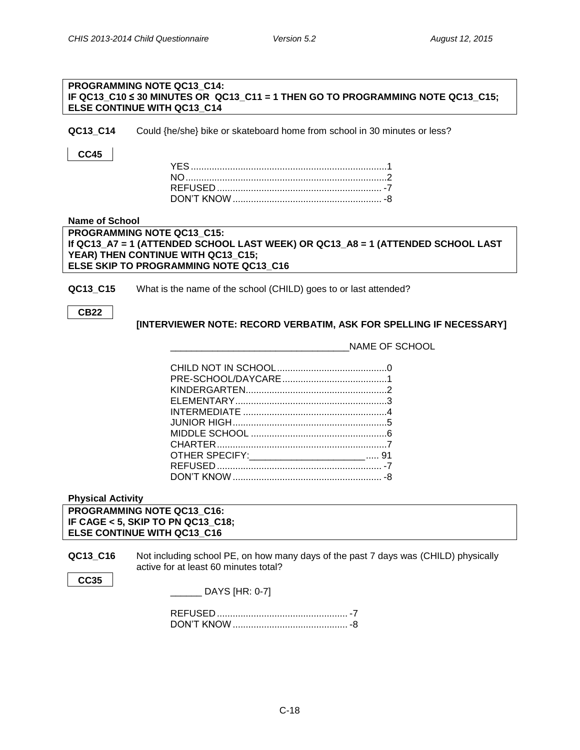| <b>PROGRAMMING NOTE QC13 C14:</b>                                                   |  |
|-------------------------------------------------------------------------------------|--|
| IF QC13 C10 $\leq$ 30 MINUTES OR QC13 C11 = 1 THEN GO TO PROGRAMMING NOTE QC13 C15; |  |
| <b>ELSE CONTINUE WITH QC13 C14</b>                                                  |  |

**QC13\_C14** Could {he/she} bike or skateboard home from school in 30 minutes or less?

#### **CC45**

#### <span id="page-17-0"></span>**Name of School**

**PROGRAMMING NOTE QC13\_C15: If QC13\_A7 = 1 (ATTENDED SCHOOL LAST WEEK) OR QC13\_A8 = 1 (ATTENDED SCHOOL LAST YEAR) THEN CONTINUE WITH QC13\_C15; ELSE SKIP TO PROGRAMMING NOTE QC13\_C16**

**QC13\_C15** What is the name of the school (CHILD) goes to or last attended?

| M<br>۰, |
|---------|
|---------|

#### **[INTERVIEWER NOTE: RECORD VERBATIM, ASK FOR SPELLING IF NECESSARY]**

\_\_\_\_\_\_\_\_\_\_\_\_\_\_\_\_\_\_\_\_\_\_\_\_\_\_\_\_\_\_\_\_\_\_NAME OF SCHOOL

| OTHER SPECIFY:_____________________________ 91 |  |
|------------------------------------------------|--|
|                                                |  |
|                                                |  |
|                                                |  |

#### <span id="page-17-1"></span>**Physical Activity**

**PROGRAMMING NOTE QC13\_C16: IF CAGE < 5, SKIP TO PN QC13\_C18; ELSE CONTINUE WITH QC13\_C16**

**QC13\_C16** Not including school PE, on how many days of the past 7 days was (CHILD) physically active for at least 60 minutes total?

| ٠<br>× |
|--------|
|--------|

| DAYS [HR: 0-7] |  |
|----------------|--|
|                |  |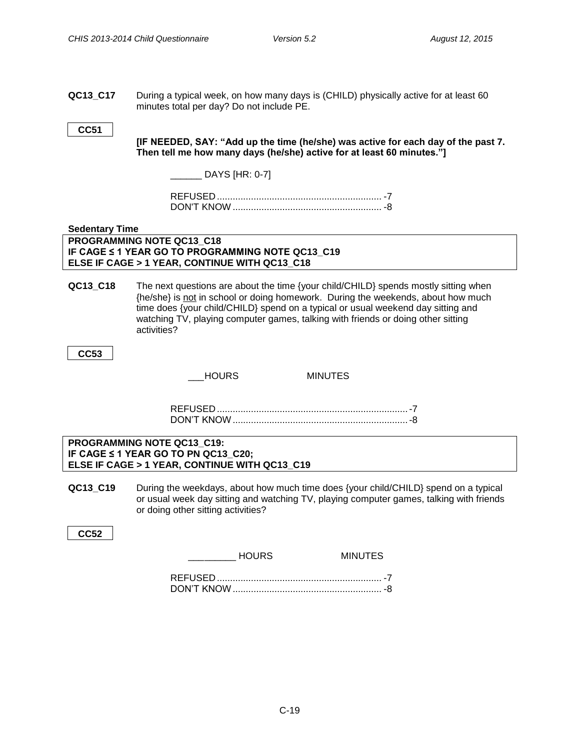**QC13\_C17** During a typical week, on how many days is (CHILD) physically active for at least 60 minutes total per day? Do not include PE.

#### **CC51**

**[IF NEEDED, SAY: "Add up the time (he/she) was active for each day of the past 7. Then tell me how many days (he/she) active for at least 60 minutes."]**

\_\_\_\_\_\_ DAYS [HR: 0-7]

#### <span id="page-18-0"></span>**Sedentary Time**

#### **PROGRAMMING NOTE QC13\_C18 IF CAGE ≤ 1 YEAR GO TO PROGRAMMING NOTE QC13\_C19 ELSE IF CAGE > 1 YEAR, CONTINUE WITH QC13\_C18**

**QC13\_C18** The next questions are about the time {your child/CHILD} spends mostly sitting when {he/she} is not in school or doing homework. During the weekends, about how much time does {your child/CHILD} spend on a typical or usual weekend day sitting and watching TV, playing computer games, talking with friends or doing other sitting activities?

**CC53**

HOURS MINUTES

REFUSED .........................................................................-7 DON'T KNOW...................................................................-8

#### **PROGRAMMING NOTE QC13\_C19: IF CAGE ≤ 1 YEAR GO TO PN QC13\_C20; ELSE IF CAGE > 1 YEAR, CONTINUE WITH QC13\_C19**

**QC13\_C19** During the weekdays, about how much time does {your child/CHILD} spend on a typical or usual week day sitting and watching TV, playing computer games, talking with friends or doing other sitting activities?

**CC52**

HOURS MINUTES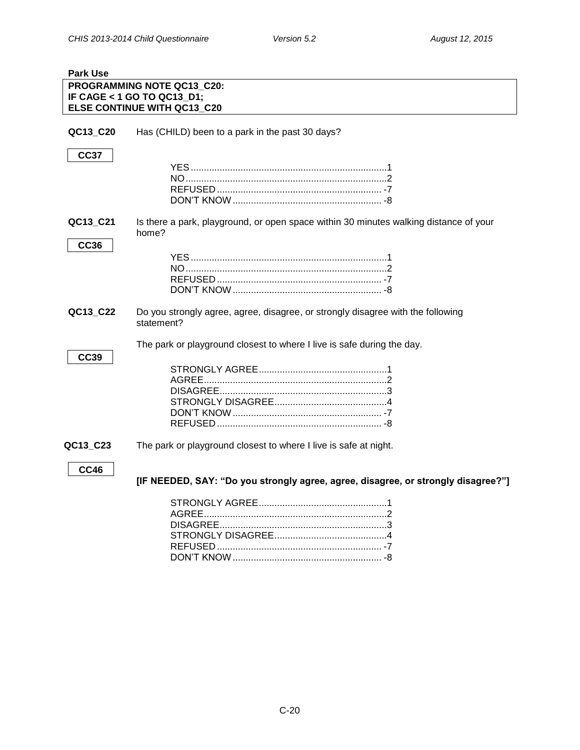<span id="page-19-0"></span>

| <b>Park Use</b> |                                                                                       |
|-----------------|---------------------------------------------------------------------------------------|
|                 | PROGRAMMING NOTE QC13_C20:                                                            |
|                 | IF CAGE < 1 GO TO QC13_D1;                                                            |
|                 | <b>ELSE CONTINUE WITH QC13_C20</b>                                                    |
|                 |                                                                                       |
| QC13_C20        | Has (CHILD) been to a park in the past 30 days?                                       |
|                 |                                                                                       |
| <b>CC37</b>     |                                                                                       |
|                 |                                                                                       |
|                 |                                                                                       |
|                 |                                                                                       |
|                 |                                                                                       |
|                 |                                                                                       |
| QC13_C21        | Is there a park, playground, or open space within 30 minutes walking distance of your |
|                 | home?                                                                                 |
|                 |                                                                                       |
| <b>CC36</b>     |                                                                                       |
|                 |                                                                                       |
|                 |                                                                                       |
|                 |                                                                                       |
|                 |                                                                                       |
| QC13_C22        | Do you strongly agree, agree, disagree, or strongly disagree with the following       |
|                 | statement?                                                                            |
|                 |                                                                                       |
|                 | The park or playground closest to where I live is safe during the day.                |
| <b>CC39</b>     |                                                                                       |
|                 |                                                                                       |
|                 |                                                                                       |
|                 |                                                                                       |
|                 |                                                                                       |
|                 |                                                                                       |
|                 |                                                                                       |
|                 |                                                                                       |
| QC13_C23        | The park or playground closest to where I live is safe at night.                      |
|                 |                                                                                       |
| <b>CC46</b>     |                                                                                       |
|                 | [IF NEEDED, SAY: "Do you strongly agree, agree, disagree, or strongly disagree?"]     |
|                 |                                                                                       |
|                 |                                                                                       |
|                 |                                                                                       |
|                 |                                                                                       |
|                 |                                                                                       |
|                 |                                                                                       |
|                 |                                                                                       |

DON'T KNOW......................................................... -8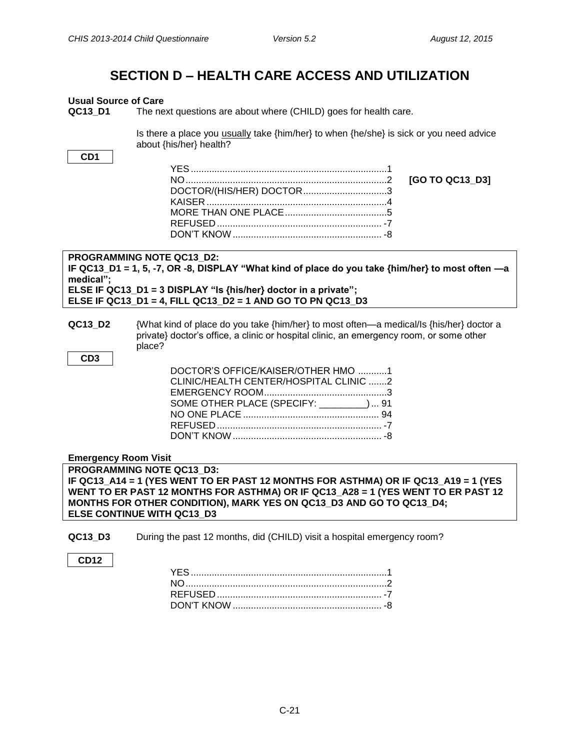### **SECTION D – HEALTH CARE ACCESS AND UTILIZATION**

#### <span id="page-20-1"></span><span id="page-20-0"></span>**Usual Source of Care**

**QC13 D1** The next questions are about where (CHILD) goes for health care.

Is there a place you usually take {him/her} to when {he/she} is sick or you need advice about {his/her} health?

**CD1**

| DOCTOR/(HIS/HER) DOCTOR3 |
|--------------------------|
|                          |
|                          |
|                          |
|                          |
|                          |

NO.............................................................................2 **[GO TO QC13\_D3]**

**PROGRAMMING NOTE QC13\_D2: IF QC13\_D1 = 1, 5, -7, OR -8, DISPLAY "What kind of place do you take {him/her} to most often —a medical"; ELSE IF QC13\_D1 = 3 DISPLAY "Is {his/her} doctor in a private"; ELSE IF QC13\_D1 = 4, FILL QC13\_D2 = 1 AND GO TO PN QC13\_D3**

**QC13 D2** {What kind of place do you take {him/her} to most often—a medical/Is {his/her} doctor a private} doctor's office, a clinic or hospital clinic, an emergency room, or some other place?

**CD3**

| DOCTOR'S OFFICE/KAISER/OTHER HMO 1      |  |
|-----------------------------------------|--|
| CLINIC/HEALTH CENTER/HOSPITAL CLINIC 2  |  |
|                                         |  |
| SOME OTHER PLACE (SPECIFY: ________) 91 |  |
|                                         |  |
|                                         |  |
|                                         |  |
|                                         |  |

<span id="page-20-2"></span>**Emergency Room Visit**

**PROGRAMMING NOTE QC13\_D3: IF QC13\_A14 = 1 (YES WENT TO ER PAST 12 MONTHS FOR ASTHMA) OR IF QC13\_A19 = 1 (YES WENT TO ER PAST 12 MONTHS FOR ASTHMA) OR IF QC13\_A28 = 1 (YES WENT TO ER PAST 12 MONTHS FOR OTHER CONDITION), MARK YES ON QC13\_D3 AND GO TO QC13\_D4; ELSE CONTINUE WITH QC13\_D3**

**QC13\_D3** During the past 12 months, did (CHILD) visit a hospital emergency room?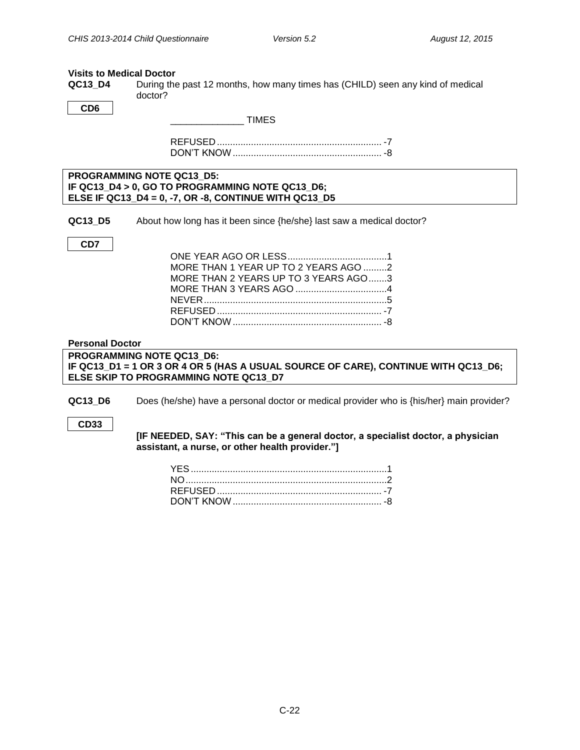#### <span id="page-21-0"></span>**Visits to Medical Doctor**

**QC13\_D4** During the past 12 months, how many times has (CHILD) seen any kind of medical doctor?

**CD6**

\_\_\_\_\_\_\_\_\_\_\_\_\_\_ TIMES

REFUSED ............................................................... -7 DON'T KNOW......................................................... -8

**PROGRAMMING NOTE QC13\_D5: IF QC13\_D4 > 0, GO TO PROGRAMMING NOTE QC13\_D6; ELSE IF QC13\_D4 = 0, -7, OR -8, CONTINUE WITH QC13\_D5**

**QC13\_D5** About how long has it been since {he/she} last saw a medical doctor?

**CD7**

| MORE THAN 1 YEAR UP TO 2 YEARS AGO 2 |  |
|--------------------------------------|--|
| MORE THAN 2 YEARS UP TO 3 YEARS AGO3 |  |
|                                      |  |
|                                      |  |
|                                      |  |
|                                      |  |

#### <span id="page-21-1"></span>**Personal Doctor**

**PROGRAMMING NOTE QC13\_D6: IF QC13\_D1 = 1 OR 3 OR 4 OR 5 (HAS A USUAL SOURCE OF CARE), CONTINUE WITH QC13\_D6; ELSE SKIP TO PROGRAMMING NOTE QC13\_D7**

**QC13\_D6** Does (he/she) have a personal doctor or medical provider who is {his/her} main provider?

**CD33**

**[IF NEEDED, SAY: "This can be a general doctor, a specialist doctor, a physician assistant, a nurse, or other health provider."]**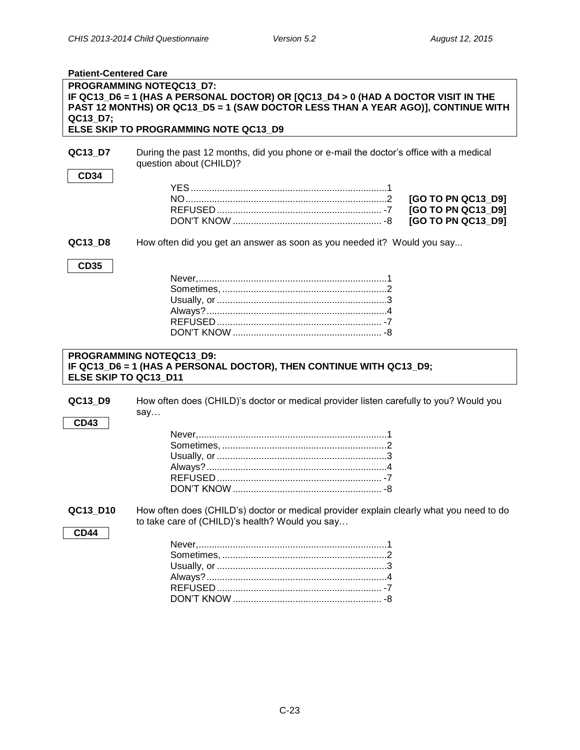<span id="page-22-0"></span>

| PROGRAMMING NOTEQC13 D7:<br>IF QC13_D6 = 1 (HAS A PERSONAL DOCTOR) OR [QC13_D4 > 0 (HAD A DOCTOR VISIT IN THE<br>PAST 12 MONTHS) OR QC13_D5 = 1 (SAW DOCTOR LESS THAN A YEAR AGO)], CONTINUE WITH<br>QC13_D7;<br>ELSE SKIP TO PROGRAMMING NOTE QC13_D9<br>During the past 12 months, did you phone or e-mail the doctor's office with a medical<br>QC13_D7<br>question about (CHILD)?<br><b>CD34</b><br>[GO TO PN QC13_D9]<br>[GO TO PN QC13_D9] |
|--------------------------------------------------------------------------------------------------------------------------------------------------------------------------------------------------------------------------------------------------------------------------------------------------------------------------------------------------------------------------------------------------------------------------------------------------|
|                                                                                                                                                                                                                                                                                                                                                                                                                                                  |
|                                                                                                                                                                                                                                                                                                                                                                                                                                                  |
|                                                                                                                                                                                                                                                                                                                                                                                                                                                  |
|                                                                                                                                                                                                                                                                                                                                                                                                                                                  |
|                                                                                                                                                                                                                                                                                                                                                                                                                                                  |
|                                                                                                                                                                                                                                                                                                                                                                                                                                                  |
|                                                                                                                                                                                                                                                                                                                                                                                                                                                  |
| [GO TO PN QC13_D9]                                                                                                                                                                                                                                                                                                                                                                                                                               |
| How often did you get an answer as soon as you needed it? Would you say<br>QC13_D8                                                                                                                                                                                                                                                                                                                                                               |
| <b>CD35</b>                                                                                                                                                                                                                                                                                                                                                                                                                                      |
|                                                                                                                                                                                                                                                                                                                                                                                                                                                  |
|                                                                                                                                                                                                                                                                                                                                                                                                                                                  |
|                                                                                                                                                                                                                                                                                                                                                                                                                                                  |
|                                                                                                                                                                                                                                                                                                                                                                                                                                                  |
|                                                                                                                                                                                                                                                                                                                                                                                                                                                  |
|                                                                                                                                                                                                                                                                                                                                                                                                                                                  |
|                                                                                                                                                                                                                                                                                                                                                                                                                                                  |
|                                                                                                                                                                                                                                                                                                                                                                                                                                                  |
| <b>PROGRAMMING NOTEQC13 D9:</b><br>IF QC13_D6 = 1 (HAS A PERSONAL DOCTOR), THEN CONTINUE WITH QC13_D9;<br>ELSE SKIP TO QC13_D11                                                                                                                                                                                                                                                                                                                  |
| How often does (CHILD)'s doctor or medical provider listen carefully to you? Would you<br>QC13_D9<br>say                                                                                                                                                                                                                                                                                                                                         |
| <b>CD43</b>                                                                                                                                                                                                                                                                                                                                                                                                                                      |
|                                                                                                                                                                                                                                                                                                                                                                                                                                                  |
|                                                                                                                                                                                                                                                                                                                                                                                                                                                  |
|                                                                                                                                                                                                                                                                                                                                                                                                                                                  |
|                                                                                                                                                                                                                                                                                                                                                                                                                                                  |
|                                                                                                                                                                                                                                                                                                                                                                                                                                                  |
|                                                                                                                                                                                                                                                                                                                                                                                                                                                  |
| QC13_D10<br>How often does (CHILD's) doctor or medical provider explain clearly what you need to do<br>to take care of (CHILD)'s health? Would you say                                                                                                                                                                                                                                                                                           |
| <b>CD44</b>                                                                                                                                                                                                                                                                                                                                                                                                                                      |
|                                                                                                                                                                                                                                                                                                                                                                                                                                                  |
|                                                                                                                                                                                                                                                                                                                                                                                                                                                  |
|                                                                                                                                                                                                                                                                                                                                                                                                                                                  |
|                                                                                                                                                                                                                                                                                                                                                                                                                                                  |
|                                                                                                                                                                                                                                                                                                                                                                                                                                                  |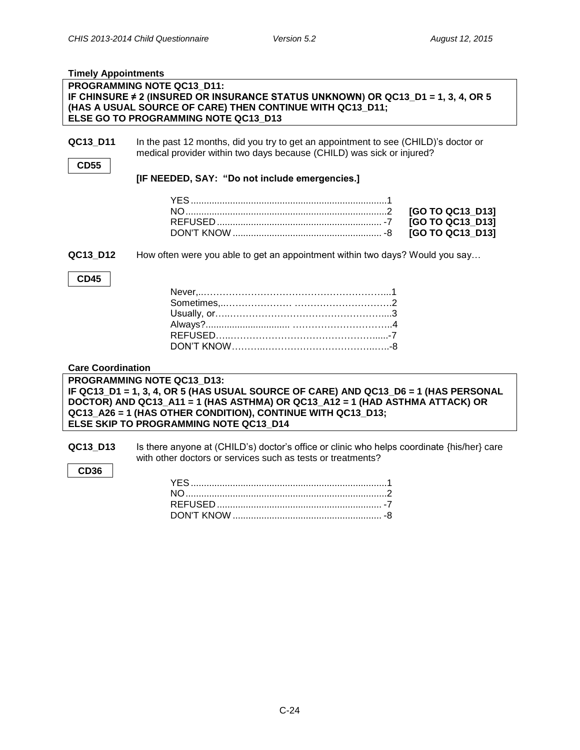<span id="page-23-0"></span>

| <b>Timely Appointments</b> |                                                                                                                                                                                                                     |                  |
|----------------------------|---------------------------------------------------------------------------------------------------------------------------------------------------------------------------------------------------------------------|------------------|
|                            | PROGRAMMING NOTE QC13_D11:<br>IF CHINSURE ≠ 2 (INSURED OR INSURANCE STATUS UNKNOWN) OR QC13_D1 = 1, 3, 4, OR 5<br>(HAS A USUAL SOURCE OF CARE) THEN CONTINUE WITH QC13_D11;<br>ELSE GO TO PROGRAMMING NOTE QC13_D13 |                  |
|                            |                                                                                                                                                                                                                     |                  |
| QC13 D11                   | In the past 12 months, did you try to get an appointment to see (CHILD)'s doctor or<br>medical provider within two days because (CHILD) was sick or injured?                                                        |                  |
| <b>CD55</b>                |                                                                                                                                                                                                                     |                  |
|                            | [IF NEEDED, SAY: "Do not include emergencies.]                                                                                                                                                                      |                  |
|                            |                                                                                                                                                                                                                     |                  |
|                            |                                                                                                                                                                                                                     |                  |
|                            |                                                                                                                                                                                                                     | [GO TO QC13_D13] |
|                            |                                                                                                                                                                                                                     | [GO TO QC13_D13] |
|                            |                                                                                                                                                                                                                     | [GO TO QC13_D13] |
| QC13_D12                   | How often were you able to get an appointment within two days? Would you say                                                                                                                                        |                  |
| <b>CD45</b>                |                                                                                                                                                                                                                     |                  |
|                            |                                                                                                                                                                                                                     |                  |
|                            |                                                                                                                                                                                                                     |                  |
|                            |                                                                                                                                                                                                                     |                  |
|                            |                                                                                                                                                                                                                     |                  |
|                            |                                                                                                                                                                                                                     |                  |
|                            |                                                                                                                                                                                                                     |                  |
|                            |                                                                                                                                                                                                                     |                  |
| <b>Care Coordination</b>   |                                                                                                                                                                                                                     |                  |
|                            | PROGRAMMING NOTE QC13 D13:                                                                                                                                                                                          |                  |
|                            | IF QC13_D1 = 1, 3, 4, OR 5 (HAS USUAL SOURCE OF CARE) AND QC13_D6 = 1 (HAS PERSONAL                                                                                                                                 |                  |
|                            | DOCTOR) AND QC13_A11 = 1 (HAS ASTHMA) OR QC13_A12 = 1 (HAD ASTHMA ATTACK) OR                                                                                                                                        |                  |
|                            | QC13_A26 = 1 (HAS OTHER CONDITION), CONTINUE WITH QC13_D13;                                                                                                                                                         |                  |
|                            | ELSE SKIP TO PROGRAMMING NOTE QC13 D14                                                                                                                                                                              |                  |
| QC13_D13                   | Is there anyone at (CHILD's) doctor's office or clinic who helps coordinate {his/her} care                                                                                                                          |                  |
|                            | with other doctors or services such as tests or treatments?                                                                                                                                                         |                  |
| <b>CD36</b>                |                                                                                                                                                                                                                     |                  |
|                            |                                                                                                                                                                                                                     |                  |
|                            |                                                                                                                                                                                                                     |                  |

<span id="page-23-1"></span>REFUSED ............................................................... -7 DON'T KNOW ......................................................... -8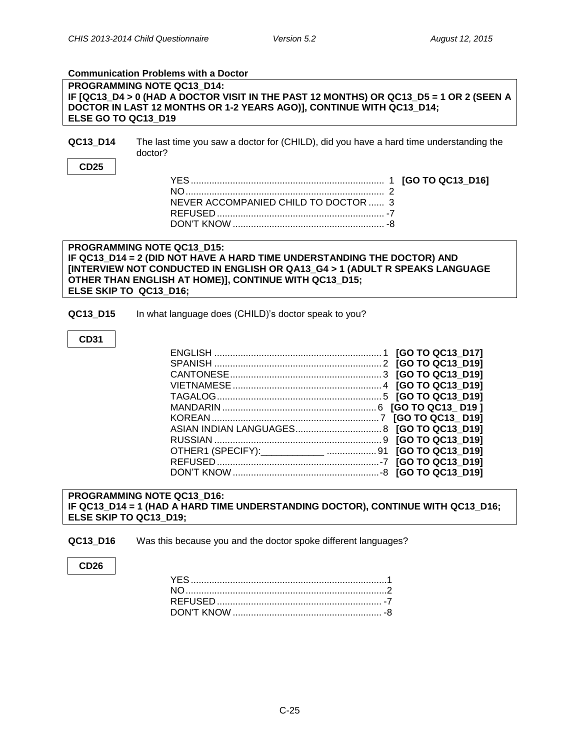#### <span id="page-24-0"></span>**Communication Problems with a Doctor**

**PROGRAMMING NOTE QC13\_D14: IF [QC13\_D4 > 0 (HAD A DOCTOR VISIT IN THE PAST 12 MONTHS) OR QC13\_D5 = 1 OR 2 (SEEN A DOCTOR IN LAST 12 MONTHS OR 1-2 YEARS AGO)], CONTINUE WITH QC13\_D14; ELSE GO TO QC13\_D19**

**QC13\_D14** The last time you saw a doctor for (CHILD), did you have a hard time understanding the doctor?

#### **CD25**

| NEVER ACCOMPANIED CHILD TO DOCTOR  3 |  |
|--------------------------------------|--|
|                                      |  |
|                                      |  |
|                                      |  |

#### **PROGRAMMING NOTE QC13\_D15: IF QC13\_D14 = 2 (DID NOT HAVE A HARD TIME UNDERSTANDING THE DOCTOR) AND [INTERVIEW NOT CONDUCTED IN ENGLISH OR QA13\_G4 > 1 (ADULT R SPEAKS LANGUAGE OTHER THAN ENGLISH AT HOME)], CONTINUE WITH QC13\_D15; ELSE SKIP TO QC13\_D16;**

**QC13 D15** In what language does (CHILD)'s doctor speak to you?

#### **CD31**

| OTHER1 (SPECIFY):____________  91 [GO TO QC13_D19] |  |
|----------------------------------------------------|--|
|                                                    |  |
|                                                    |  |

**PROGRAMMING NOTE QC13\_D16: IF QC13\_D14 = 1 (HAD A HARD TIME UNDERSTANDING DOCTOR), CONTINUE WITH QC13\_D16; ELSE SKIP TO QC13\_D19;**

**QC13\_D16** Was this because you and the doctor spoke different languages?

#### **CD26**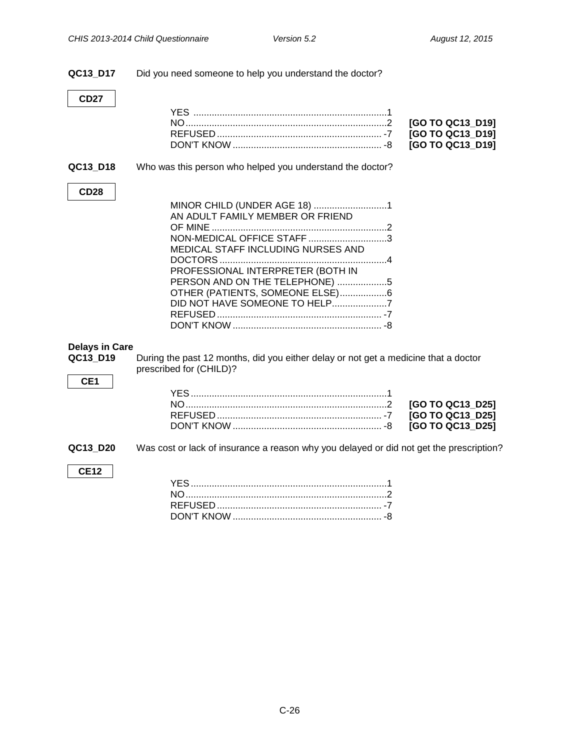<span id="page-25-0"></span>

| QC13_D17                                             | Did you need someone to help you understand the doctor?                                                                                                                                                                                        |
|------------------------------------------------------|------------------------------------------------------------------------------------------------------------------------------------------------------------------------------------------------------------------------------------------------|
| <b>CD27</b>                                          |                                                                                                                                                                                                                                                |
|                                                      | [GO TO QC13_D19]<br>[GO TO QC13_D19]<br>[GO TO QC13_D19]                                                                                                                                                                                       |
| QC13_D18                                             | Who was this person who helped you understand the doctor?                                                                                                                                                                                      |
| <b>CD28</b>                                          |                                                                                                                                                                                                                                                |
|                                                      | MINOR CHILD (UNDER AGE 18) 1<br>AN ADULT FAMILY MEMBER OR FRIEND<br>NON-MEDICAL OFFICE STAFF 3<br>MEDICAL STAFF INCLUDING NURSES AND<br>PROFESSIONAL INTERPRETER (BOTH IN<br>PERSON AND ON THE TELEPHONE) 5<br>OTHER (PATIENTS, SOMEONE ELSE)6 |
|                                                      |                                                                                                                                                                                                                                                |
| <b>Delays in Care</b><br>QC13_D19<br>CE <sub>1</sub> | During the past 12 months, did you either delay or not get a medicine that a doctor<br>prescribed for (CHILD)?                                                                                                                                 |
|                                                      | [GO TO QC13 D25]<br>[GO TO QC13_D25]<br>[GO TO QC13_D25]                                                                                                                                                                                       |
| QC13_D20                                             | Was cost or lack of insurance a reason why you delayed or did not get the prescription?                                                                                                                                                        |
| <b>CE12</b>                                          |                                                                                                                                                                                                                                                |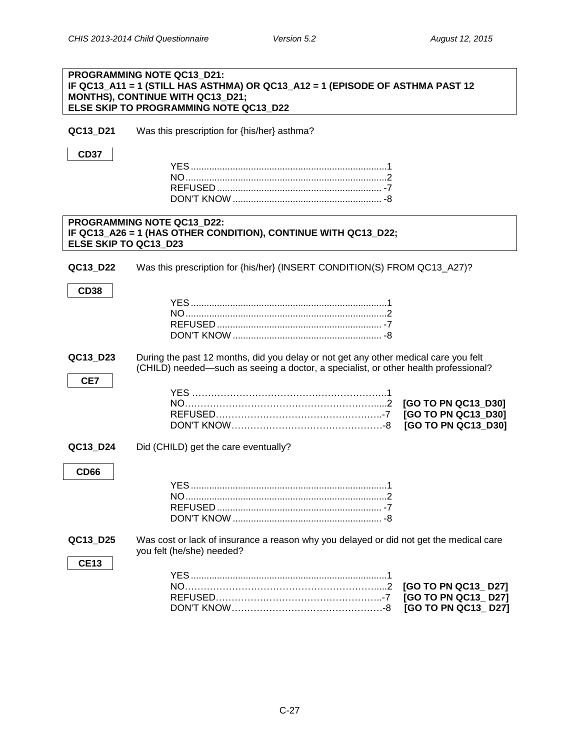|                         | PROGRAMMING NOTE QC13 D21:<br>IF QC13_A11 = 1 (STILL HAS ASTHMA) OR QC13_A12 = 1 (EPISODE OF ASTHMA PAST 12<br>MONTHS), CONTINUE WITH QC13_D21;<br>ELSE SKIP TO PROGRAMMING NOTE QC13 D22 |                                                                   |
|-------------------------|-------------------------------------------------------------------------------------------------------------------------------------------------------------------------------------------|-------------------------------------------------------------------|
| QC13_D21                | Was this prescription for {his/her} asthma?                                                                                                                                               |                                                                   |
| <b>CD37</b>             |                                                                                                                                                                                           |                                                                   |
| ELSE SKIP TO QC13 D23   | PROGRAMMING NOTE QC13_D22:<br>IF QC13_A26 = 1 (HAS OTHER CONDITION), CONTINUE WITH QC13_D22;                                                                                              |                                                                   |
| QC13_D22                | Was this prescription for {his/her} (INSERT CONDITION(S) FROM QC13_A27)?                                                                                                                  |                                                                   |
| <b>CD38</b>             |                                                                                                                                                                                           |                                                                   |
| QC13_D23                | During the past 12 months, did you delay or not get any other medical care you felt<br>(CHILD) needed—such as seeing a doctor, a specialist, or other health professional?                |                                                                   |
| CE7                     |                                                                                                                                                                                           | [GO TO PN QC13_D30]<br>[GO TO PN QC13_D30]<br>[GO TO PN QC13_D30] |
| QC13_D24                | Did (CHILD) get the care eventually?                                                                                                                                                      |                                                                   |
| <b>CD66</b>             |                                                                                                                                                                                           |                                                                   |
| QC13_D25<br><b>CE13</b> | Was cost or lack of insurance a reason why you delayed or did not get the medical care<br>you felt (he/she) needed?                                                                       |                                                                   |
|                         |                                                                                                                                                                                           | [GO TO PN QC13_D27]<br>[GO TO PN QC13_D27]<br>[GO TO PN QC13_D27] |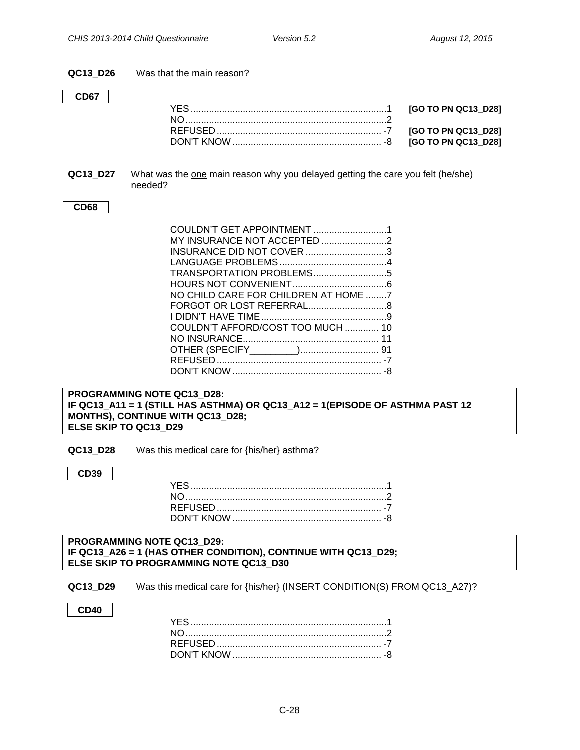**QC13\_D26** Was that the main reason?

#### **CD67**

**QC13\_D27** What was the one main reason why you delayed getting the care you felt (he/she) needed?

#### **CD68**

| INSURANCE DID NOT COVER 3            |  |
|--------------------------------------|--|
|                                      |  |
|                                      |  |
|                                      |  |
| NO CHILD CARE FOR CHILDREN AT HOME 7 |  |
|                                      |  |
|                                      |  |
| COULDN'T AFFORD/COST TOO MUCH  10    |  |
|                                      |  |
|                                      |  |
|                                      |  |
|                                      |  |

#### **PROGRAMMING NOTE QC13\_D28: IF QC13\_A11 = 1 (STILL HAS ASTHMA) OR QC13\_A12 = 1(EPISODE OF ASTHMA PAST 12 MONTHS), CONTINUE WITH QC13\_D28; ELSE SKIP TO QC13\_D29**

**QC13\_D28** Was this medical care for {his/her} asthma?

**CD39**

#### **PROGRAMMING NOTE QC13\_D29: IF QC13\_A26 = 1 (HAS OTHER CONDITION), CONTINUE WITH QC13\_D29; ELSE SKIP TO PROGRAMMING NOTE QC13\_D30**

**QC13\_D29** Was this medical care for {his/her} (INSERT CONDITION(S) FROM QC13\_A27)?

**CD40**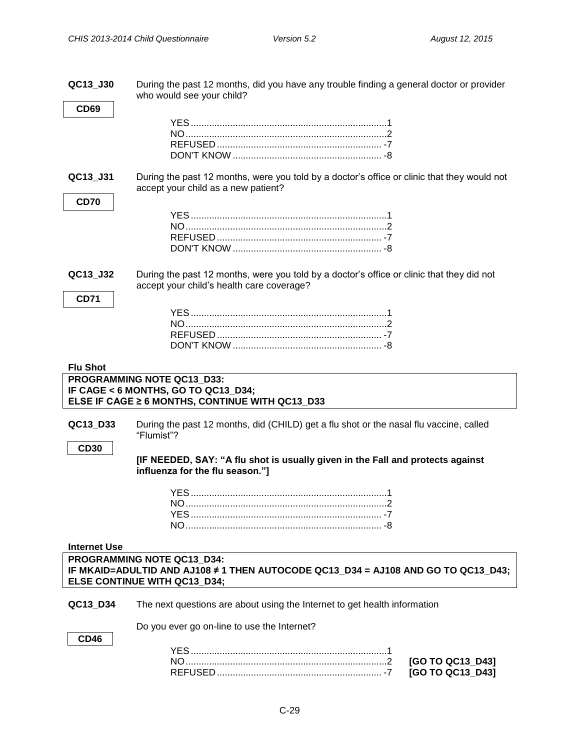**QC13\_J30** During the past 12 months, did you have any trouble finding a general doctor or provider who would see your child?

<span id="page-28-0"></span>

| <b>CD69</b>         |                                                                                                                                                 |
|---------------------|-------------------------------------------------------------------------------------------------------------------------------------------------|
|                     |                                                                                                                                                 |
|                     |                                                                                                                                                 |
|                     |                                                                                                                                                 |
|                     |                                                                                                                                                 |
| QC13_J31            | During the past 12 months, were you told by a doctor's office or clinic that they would not<br>accept your child as a new patient?              |
| <b>CD70</b>         |                                                                                                                                                 |
|                     |                                                                                                                                                 |
|                     |                                                                                                                                                 |
|                     |                                                                                                                                                 |
|                     |                                                                                                                                                 |
| QC13_J32            | During the past 12 months, were you told by a doctor's office or clinic that they did not<br>accept your child's health care coverage?          |
| <b>CD71</b>         |                                                                                                                                                 |
|                     |                                                                                                                                                 |
|                     |                                                                                                                                                 |
|                     |                                                                                                                                                 |
|                     |                                                                                                                                                 |
|                     |                                                                                                                                                 |
| <b>Flu Shot</b>     |                                                                                                                                                 |
|                     | PROGRAMMING NOTE QC13_D33:<br>IF CAGE < 6 MONTHS, GO TO QC13_D34;                                                                               |
|                     | ELSE IF CAGE ≥ 6 MONTHS, CONTINUE WITH QC13_D33                                                                                                 |
|                     |                                                                                                                                                 |
| QC13_D33            | During the past 12 months, did (CHILD) get a flu shot or the nasal flu vaccine, called                                                          |
|                     | "Flumist"?                                                                                                                                      |
| <b>CD30</b>         |                                                                                                                                                 |
|                     | [IF NEEDED, SAY: "A flu shot is usually given in the Fall and protects against                                                                  |
|                     | influenza for the flu season."]                                                                                                                 |
|                     |                                                                                                                                                 |
|                     |                                                                                                                                                 |
|                     |                                                                                                                                                 |
|                     |                                                                                                                                                 |
|                     | <b>NO</b>                                                                                                                                       |
|                     |                                                                                                                                                 |
| <b>Internet Use</b> |                                                                                                                                                 |
|                     | PROGRAMMING NOTE QC13_D34:<br>IF MKAID=ADULTID AND AJ108 ≠ 1 THEN AUTOCODE QC13_D34 = AJ108 AND GO TO QC13_D43;<br>ELSE CONTINUE WITH QC13 D34; |
| QC13_D34            | The next questions are about using the Internet to get health information                                                                       |
|                     |                                                                                                                                                 |
|                     | Do you ever go on-line to use the Internet?                                                                                                     |
| <b>CD46</b>         |                                                                                                                                                 |
|                     | [GO TO QC13_D43]                                                                                                                                |

<span id="page-28-1"></span>REFUSED ............................................................... -7 **[GO TO QC13\_D43]**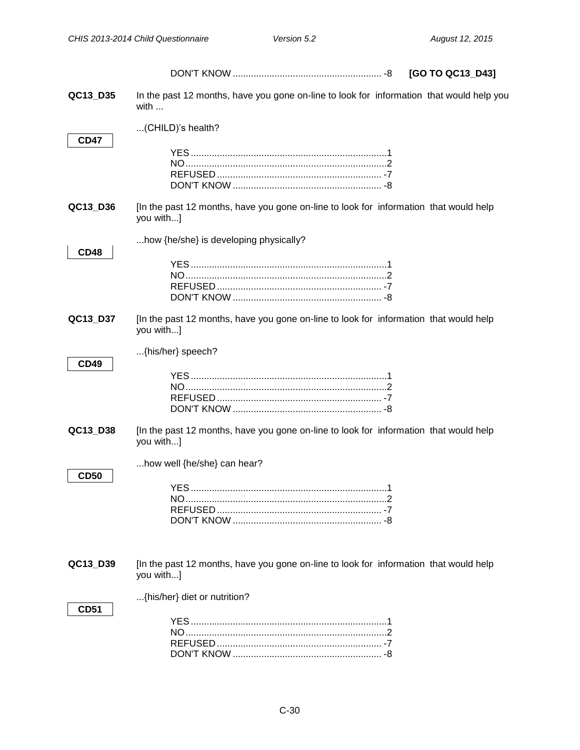|             |                                                                                                           | [GO TO QC13_D43] |
|-------------|-----------------------------------------------------------------------------------------------------------|------------------|
| QC13_D35    | In the past 12 months, have you gone on-line to look for information that would help you<br>with $\ldots$ |                  |
| <b>CD47</b> | (CHILD)'s health?                                                                                         |                  |
|             |                                                                                                           |                  |
| QC13_D36    | [In the past 12 months, have you gone on-line to look for information that would help<br>you with]        |                  |
| <b>CD48</b> | how {he/she} is developing physically?                                                                    |                  |
| QC13_D37    | [In the past 12 months, have you gone on-line to look for information that would help<br>you with]        |                  |
| <b>CD49</b> | {his/her} speech?                                                                                         |                  |
| QC13_D38    | [In the past 12 months, have you gone on-line to look for information that would help<br>you with]        |                  |
| <b>CD50</b> | how well {he/she} can hear?<br><b>VES</b>                                                                 |                  |
| QC13_D39    | [In the past 12 months, have you gone on-line to look for information that would help<br>you with]        |                  |
| <b>CD51</b> | {his/her} diet or nutrition?                                                                              |                  |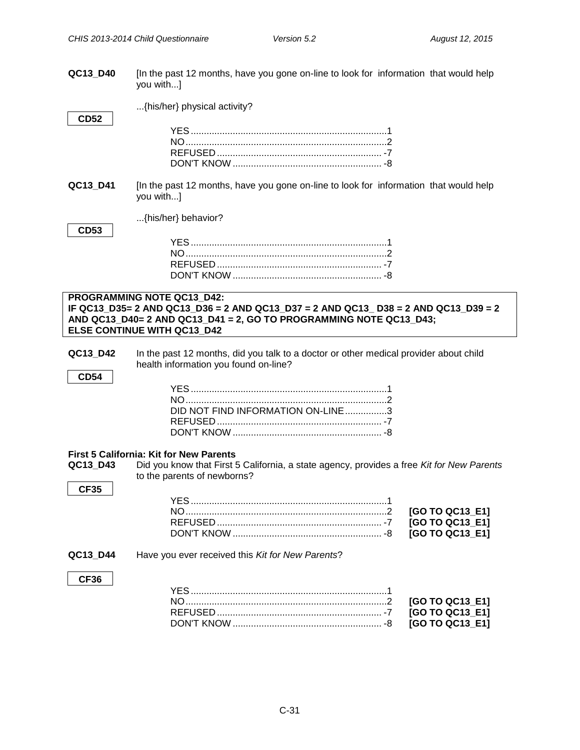<span id="page-30-0"></span>

| QC13_D40                | [In the past 12 months, have you gone on-line to look for information that would help<br>you with]                                                                                             |                                                       |
|-------------------------|------------------------------------------------------------------------------------------------------------------------------------------------------------------------------------------------|-------------------------------------------------------|
| <b>CD52</b>             | {his/her} physical activity?                                                                                                                                                                   |                                                       |
|                         |                                                                                                                                                                                                |                                                       |
| QC13 D41                | [In the past 12 months, have you gone on-line to look for information that would help<br>you with]                                                                                             |                                                       |
| <b>CD53</b>             | {his/her} behavior?                                                                                                                                                                            |                                                       |
|                         |                                                                                                                                                                                                |                                                       |
|                         | PROGRAMMING NOTE QC13 D42:                                                                                                                                                                     |                                                       |
|                         | IF QC13 D35= 2 AND QC13 D36 = 2 AND QC13 D37 = 2 AND QC13 D38 = 2 AND QC13 D39 = 2<br>AND QC13_D40= 2 AND QC13_D41 = 2, GO TO PROGRAMMING NOTE QC13_D43;<br><b>ELSE CONTINUE WITH QC13 D42</b> |                                                       |
| QC13_D42<br><b>CD54</b> | In the past 12 months, did you talk to a doctor or other medical provider about child<br>health information you found on-line?                                                                 |                                                       |
|                         | DID NOT FIND INFORMATION ON-LINE3                                                                                                                                                              |                                                       |
| QC13 D43<br><b>CF35</b> | First 5 California: Kit for New Parents<br>Did you know that First 5 California, a state agency, provides a free Kit for New Parents<br>to the parents of newborns?                            |                                                       |
|                         |                                                                                                                                                                                                | [GO TO QC13_E1]<br>[GO TO QC13_E1]<br>[GO TO QC13_E1] |
| QC13_D44                | Have you ever received this Kit for New Parents?                                                                                                                                               |                                                       |
| <b>CF36</b>             |                                                                                                                                                                                                | [GO TO QC13_E1]<br>[GO TO QC13_E1]<br>[GO TO QC13_E1] |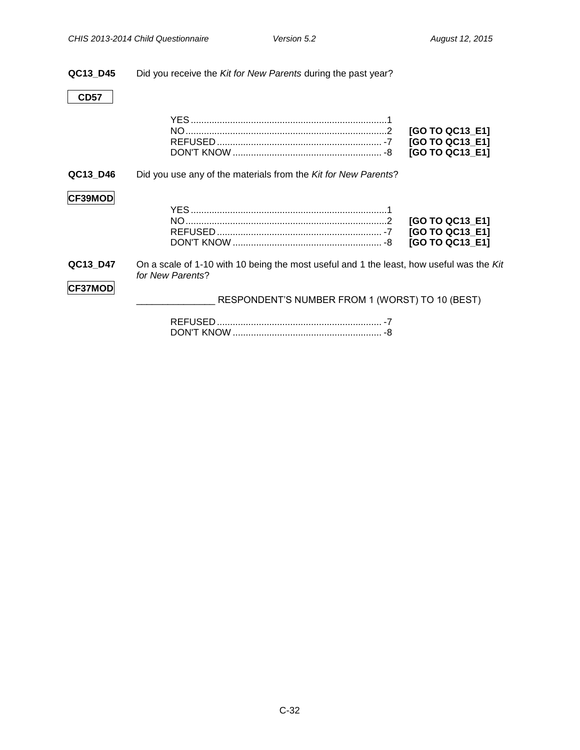#### **QC13\_D45** Did you receive the *Kit for New Parents* during the past year?

### **CD57**

|                |                                                                                                              | [GO TO QC13_E1]<br>[GO TO QC13_E1]<br>[GO TO QC13 E1] |
|----------------|--------------------------------------------------------------------------------------------------------------|-------------------------------------------------------|
| QC13 D46       | Did you use any of the materials from the Kit for New Parents?                                               |                                                       |
| <b>CF39MOD</b> |                                                                                                              | [GO TO QC13_E1]<br>[GO TO QC13_E1]<br>[GO TO QC13_E1] |
| QC13 D47       | On a scale of 1-10 with 10 being the most useful and 1 the least, how useful was the Kit<br>for New Parents? |                                                       |
| <b>CF37MOD</b> | RESPONDENT'S NUMBER FROM 1 (WORST) TO 10 (BEST)                                                              |                                                       |
|                |                                                                                                              |                                                       |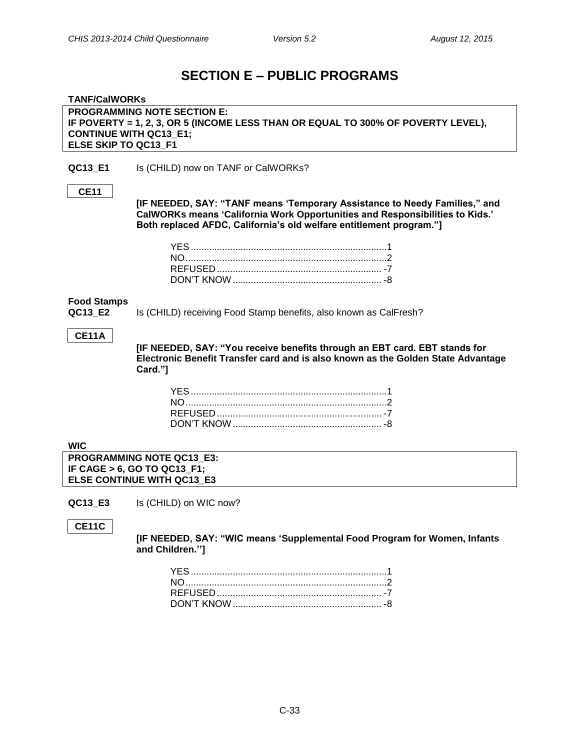## **SECTION E – PUBLIC PROGRAMS**

<span id="page-32-2"></span><span id="page-32-1"></span><span id="page-32-0"></span>

| <b>TANF/CalWORKs</b>              |                                                                                                                                                                                                                                   |  |
|-----------------------------------|-----------------------------------------------------------------------------------------------------------------------------------------------------------------------------------------------------------------------------------|--|
|                                   | <b>PROGRAMMING NOTE SECTION E:</b>                                                                                                                                                                                                |  |
|                                   | IF POVERTY = 1, 2, 3, OR 5 (INCOME LESS THAN OR EQUAL TO 300% OF POVERTY LEVEL),                                                                                                                                                  |  |
| <b>CONTINUE WITH QC13_E1;</b>     |                                                                                                                                                                                                                                   |  |
| ELSE SKIP TO QC13 F1              |                                                                                                                                                                                                                                   |  |
|                                   |                                                                                                                                                                                                                                   |  |
| QC13_E1                           | Is (CHILD) now on TANF or CalWORKs?                                                                                                                                                                                               |  |
| <b>CE11</b>                       |                                                                                                                                                                                                                                   |  |
|                                   | [IF NEEDED, SAY: "TANF means 'Temporary Assistance to Needy Families," and<br>CalWORKs means 'California Work Opportunities and Responsibilities to Kids.'<br>Both replaced AFDC, California's old welfare entitlement program."] |  |
|                                   |                                                                                                                                                                                                                                   |  |
|                                   |                                                                                                                                                                                                                                   |  |
|                                   |                                                                                                                                                                                                                                   |  |
|                                   |                                                                                                                                                                                                                                   |  |
| <b>Food Stamps</b><br>QC13 E2     | Is (CHILD) receiving Food Stamp benefits, also known as CalFresh?                                                                                                                                                                 |  |
| <b>CE11A</b>                      | [IF NEEDED, SAY: "You receive benefits through an EBT card. EBT stands for<br>Electronic Benefit Transfer card and is also known as the Golden State Advantage                                                                    |  |
|                                   | Card."]                                                                                                                                                                                                                           |  |
|                                   |                                                                                                                                                                                                                                   |  |
|                                   |                                                                                                                                                                                                                                   |  |
|                                   |                                                                                                                                                                                                                                   |  |
|                                   |                                                                                                                                                                                                                                   |  |
|                                   |                                                                                                                                                                                                                                   |  |
|                                   |                                                                                                                                                                                                                                   |  |
| <b>WIC</b>                        |                                                                                                                                                                                                                                   |  |
|                                   | PROGRAMMING NOTE QC13 E3:                                                                                                                                                                                                         |  |
| IF CAGE > 6, GO TO QC13_F1;       |                                                                                                                                                                                                                                   |  |
| <b>ELSE CONTINUE WITH QC13 E3</b> |                                                                                                                                                                                                                                   |  |
|                                   |                                                                                                                                                                                                                                   |  |

<span id="page-32-3"></span>**QC13\_E3** Is (CHILD) on WIC now?

**CE11C**

**[IF NEEDED, SAY: "WIC means 'Supplemental Food Program for Women, Infants and Children.'']**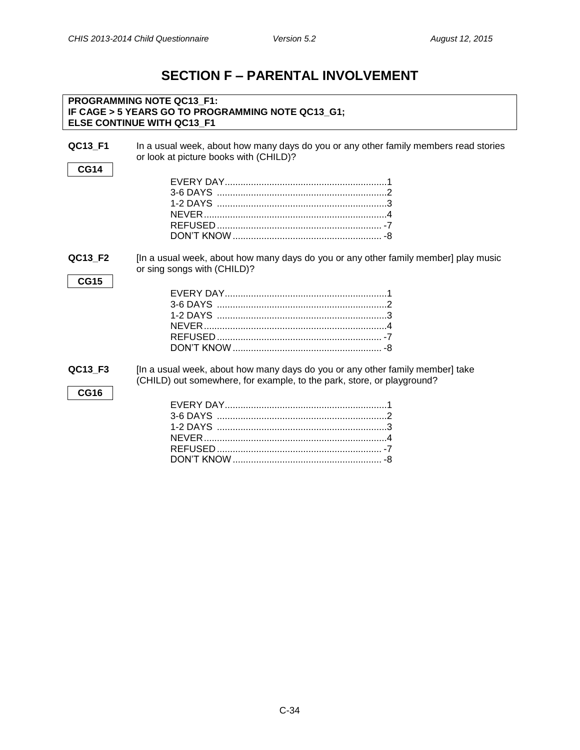## **SECTION F – PARENTAL INVOLVEMENT**

<span id="page-33-0"></span>

|                        | PROGRAMMING NOTE QC13 F1:<br>IF CAGE > 5 YEARS GO TO PROGRAMMING NOTE QC13_G1;<br>ELSE CONTINUE WITH QC13 F1                                            |
|------------------------|---------------------------------------------------------------------------------------------------------------------------------------------------------|
| QC13_F1<br><b>CG14</b> | In a usual week, about how many days do you or any other family members read stories<br>or look at picture books with (CHILD)?                          |
|                        |                                                                                                                                                         |
| QC13 F2<br><b>CG15</b> | [In a usual week, about how many days do you or any other family member] play music<br>or sing songs with (CHILD)?                                      |
| QC13_F3<br><b>CG16</b> | [In a usual week, about how many days do you or any other family member] take<br>(CHILD) out somewhere, for example, to the park, store, or playground? |

DON'T KNOW......................................................... -8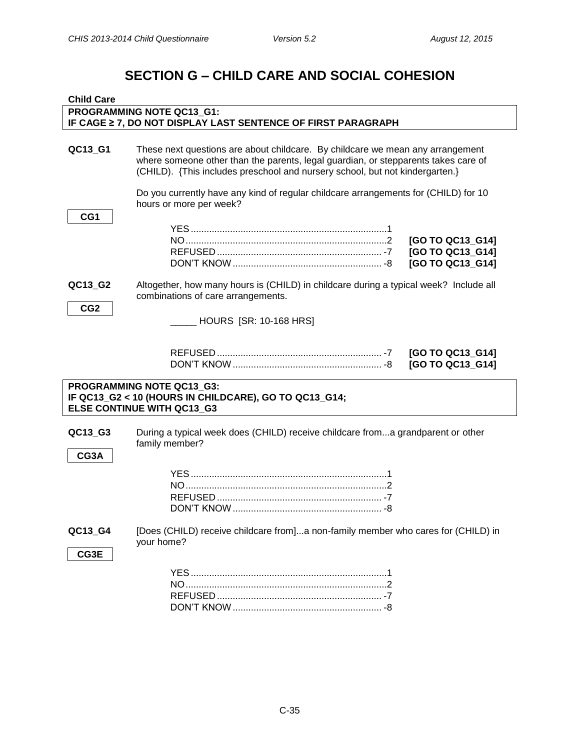## **SECTION G – CHILD CARE AND SOCIAL COHESION**

<span id="page-34-1"></span><span id="page-34-0"></span>

| <b>Child Care</b>          |                                                                                                                                                                                                                                                      |  |  |
|----------------------------|------------------------------------------------------------------------------------------------------------------------------------------------------------------------------------------------------------------------------------------------------|--|--|
|                            | PROGRAMMING NOTE QC13_G1:                                                                                                                                                                                                                            |  |  |
|                            | IF CAGE 2 7, DO NOT DISPLAY LAST SENTENCE OF FIRST PARAGRAPH                                                                                                                                                                                         |  |  |
| QC13_G1                    | These next questions are about childcare. By childcare we mean any arrangement<br>where someone other than the parents, legal guardian, or stepparents takes care of<br>(CHILD). {This includes preschool and nursery school, but not kindergarten.} |  |  |
| CG1                        | Do you currently have any kind of regular childcare arrangements for (CHILD) for 10<br>hours or more per week?<br>[GO TO QC13_G14]<br>[GO TO QC13_G14]                                                                                               |  |  |
| QC13_G2<br>CG <sub>2</sub> | [GO TO QC13_G14]<br>Altogether, how many hours is (CHILD) in childcare during a typical week? Include all<br>combinations of care arrangements.<br>_ HOURS [SR: 10-168 HRS]                                                                          |  |  |
|                            | [GO TO QC13_G14]<br>[GO TO QC13_G14]                                                                                                                                                                                                                 |  |  |
|                            | PROGRAMMING NOTE QC13_G3:<br>IF QC13_G2 < 10 (HOURS IN CHILDCARE), GO TO QC13_G14;<br>ELSE CONTINUE WITH QC13_G3                                                                                                                                     |  |  |
| QC13_G3<br>CG3A            | During a typical week does (CHILD) receive childcare froma grandparent or other<br>family member?                                                                                                                                                    |  |  |
|                            |                                                                                                                                                                                                                                                      |  |  |
| QC13_G4<br>CG3E            | [Does (CHILD) receive childcare from]a non-family member who cares for (CHILD) in<br>your home?                                                                                                                                                      |  |  |
|                            |                                                                                                                                                                                                                                                      |  |  |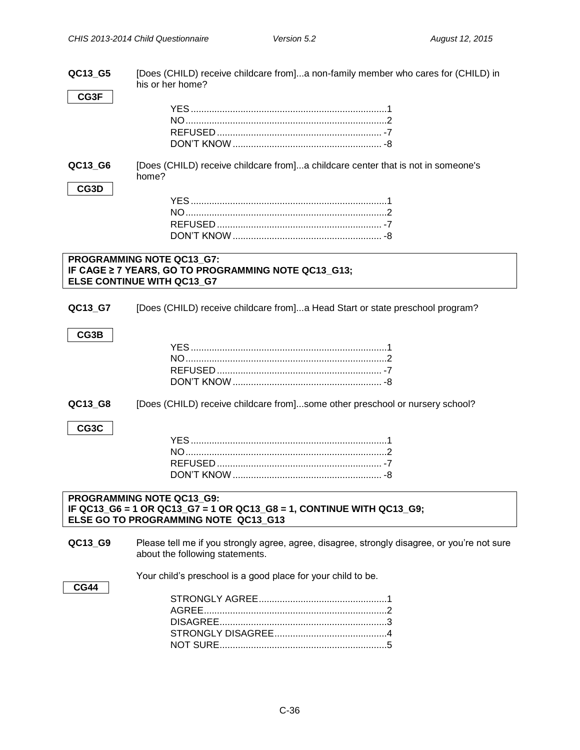| QC13 G5     | [Does (CHILD) receive childcare from]a non-family member who cares for (CHILD) in<br>his or her home? |
|-------------|-------------------------------------------------------------------------------------------------------|
| CG3F        |                                                                                                       |
|             |                                                                                                       |
|             |                                                                                                       |
|             |                                                                                                       |
|             |                                                                                                       |
| QC13_G6     | [Does (CHILD) receive childcare from]a childcare center that is not in someone's<br>home?             |
| CG3D        |                                                                                                       |
|             |                                                                                                       |
|             |                                                                                                       |
|             |                                                                                                       |
|             |                                                                                                       |
|             | PROGRAMMING NOTE QC13 G7:                                                                             |
|             | IF CAGE ≥ 7 YEARS, GO TO PROGRAMMING NOTE QC13_G13;                                                   |
|             | ELSE CONTINUE WITH QC13_G7                                                                            |
|             |                                                                                                       |
| QC13_G7     | [Does (CHILD) receive childcare from]a Head Start or state preschool program?                         |
|             |                                                                                                       |
| CG3B        |                                                                                                       |
|             |                                                                                                       |
|             |                                                                                                       |
|             |                                                                                                       |
|             |                                                                                                       |
| QC13_G8     | [Does (CHILD) receive childcare from]some other preschool or nursery school?                          |
|             |                                                                                                       |
| CG3C        |                                                                                                       |
|             |                                                                                                       |
|             |                                                                                                       |
|             |                                                                                                       |
|             |                                                                                                       |
|             | PROGRAMMING NOTE QC13 G9:                                                                             |
|             | IF QC13_G6 = 1 OR QC13_G7 = 1 OR QC13_G8 = 1, CONTINUE WITH QC13_G9;                                  |
|             | ELSE GO TO PROGRAMMING NOTE QC13 G13                                                                  |
| QC13_G9     | Please tell me if you strongly agree, agree, disagree, strongly disagree, or you're not sure          |
|             | about the following statements.                                                                       |
|             |                                                                                                       |
|             | Your child's preschool is a good place for your child to be.                                          |
| <b>CG44</b> |                                                                                                       |
|             |                                                                                                       |
|             |                                                                                                       |
|             |                                                                                                       |
|             |                                                                                                       |
|             |                                                                                                       |
|             |                                                                                                       |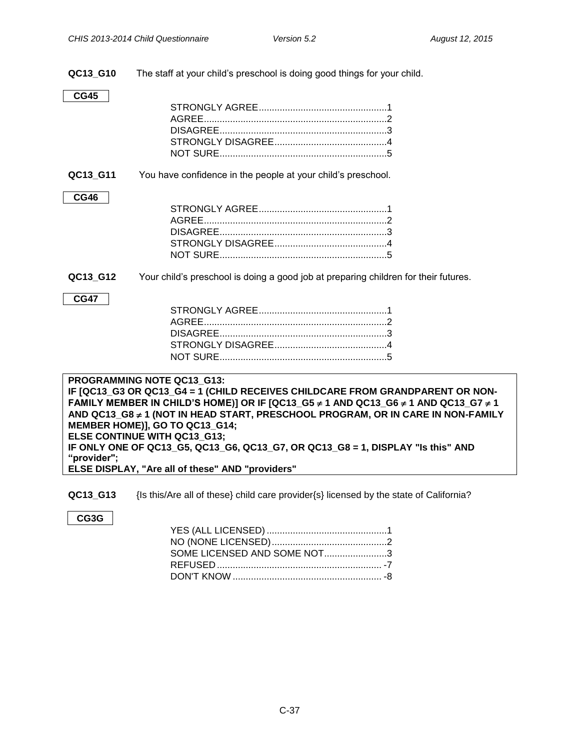**QC13\_G10** The staff at your child's preschool is doing good things for your child.

#### **CG45**

**QC13 G11** You have confidence in the people at your child's preschool.

#### **CG46**

**QC13\_G12** Your child's preschool is doing a good job at preparing children for their futures.

#### **CG47**

#### **PROGRAMMING NOTE QC13\_G13: IF [QC13\_G3 OR QC13\_G4 = 1 (CHILD RECEIVES CHILDCARE FROM GRANDPARENT OR NON-FAMILY MEMBER IN CHILD'S HOME)] OR IF [QC13\_G5 ≠ 1 AND QC13\_G6 ≠ 1 AND QC13\_G7 ≠ 1 AND QC13\_G8 1 (NOT IN HEAD START, PRESCHOOL PROGRAM, OR IN CARE IN NON-FAMILY MEMBER HOME)], GO TO QC13\_G14; ELSE CONTINUE WITH QC13\_G13; IF ONLY ONE OF QC13\_G5, QC13\_G6, QC13\_G7, OR QC13\_G8 = 1, DISPLAY "Is this" AND "provider"; ELSE DISPLAY, "Are all of these" AND "providers"**

**QC13\_G13** {Is this/Are all of these} child care provider{s} licensed by the state of California?

#### **CG3G**

| SOME LICENSED AND SOME NOT3 |  |
|-----------------------------|--|
|                             |  |
|                             |  |
|                             |  |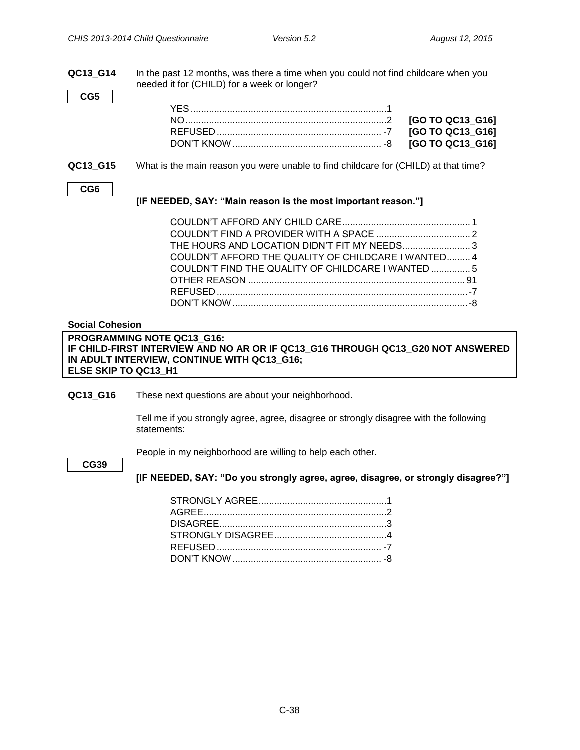**QC13\_G14** In the past 12 months, was there a time when you could not find childcare when you needed it for (CHILD) for a week or longer?

| ×<br>۰,<br>۰.<br>w<br>w<br>٠ |
|------------------------------|
|------------------------------|

**QC13\_G15** What is the main reason you were unable to find childcare for (CHILD) at that time?

| ×<br>٩<br>۰.<br>w<br>٠<br>٠ |  |
|-----------------------------|--|

#### **[IF NEEDED, SAY: "Main reason is the most important reason."]**

| COULDN'T AFFORD THE QUALITY OF CHILDCARE I WANTED 4 |  |
|-----------------------------------------------------|--|
| COULDN'T FIND THE QUALITY OF CHILDCARE I WANTED  5  |  |
|                                                     |  |
|                                                     |  |
|                                                     |  |

#### <span id="page-37-0"></span>**Social Cohesion**

#### **PROGRAMMING NOTE QC13\_G16: IF CHILD-FIRST INTERVIEW AND NO AR OR IF QC13\_G16 THROUGH QC13\_G20 NOT ANSWERED IN ADULT INTERVIEW, CONTINUE WITH QC13\_G16; ELSE SKIP TO QC13\_H1**

**QC13\_G16** These next questions are about your neighborhood.

Tell me if you strongly agree, agree, disagree or strongly disagree with the following statements:

People in my neighborhood are willing to help each other.

**CG39**

**[IF NEEDED, SAY: "Do you strongly agree, agree, disagree, or strongly disagree?"]**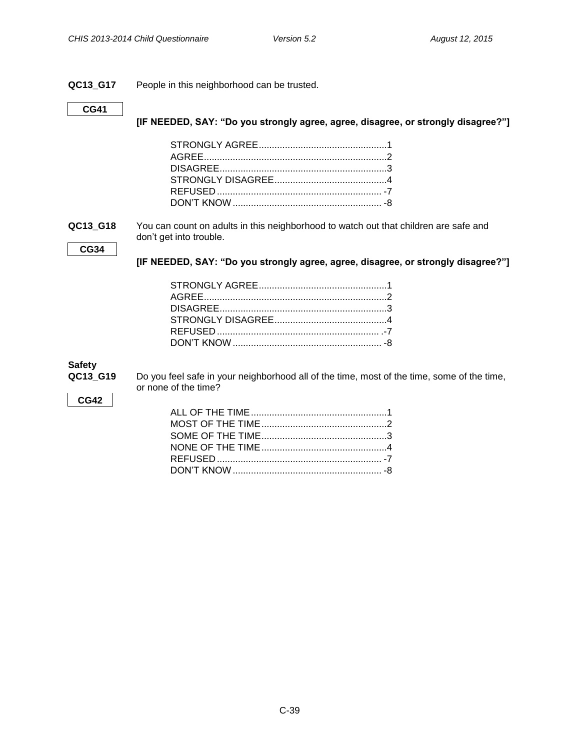#### **QC13\_G17** People in this neighborhood can be trusted.

#### **CG41**

**[IF NEEDED, SAY: "Do you strongly agree, agree, disagree, or strongly disagree?"]**

**QC13\_G18** You can count on adults in this neighborhood to watch out that children are safe and don't get into trouble.

**CG34**

**[IF NEEDED, SAY: "Do you strongly agree, agree, disagree, or strongly disagree?"]**

#### <span id="page-38-0"></span>**Safety**

| QC13 G19 |  |  |
|----------|--|--|
|          |  |  |

**9** Do you feel safe in your neighborhood all of the time, most of the time, some of the time, or none of the time?

#### **CG42**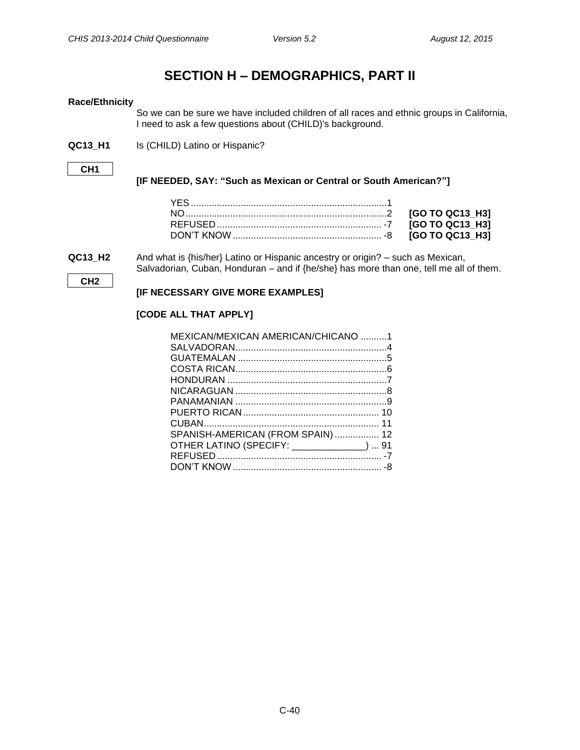### **SECTION H – DEMOGRAPHICS, PART II**

#### <span id="page-39-1"></span><span id="page-39-0"></span>**Race/Ethnicity**

So we can be sure we have included children of all races and ethnic groups in California, I need to ask a few questions about (CHILD)'s background.

**QC13\_H1** Is (CHILD) Latino or Hispanic?

**CH1**

#### **[IF NEEDED, SAY: "Such as Mexican or Central or South American?"]**

**QC13 H2** And what is {his/her} Latino or Hispanic ancestry or origin? – such as Mexican, Salvadorian, Cuban, Honduran – and if {he/she} has more than one, tell me all of them.

**CH2**

#### **[IF NECESSARY GIVE MORE EXAMPLES]**

#### **[CODE ALL THAT APPLY]**

| MEXICAN/MEXICAN AMERICAN/CHICANO 1        |  |
|-------------------------------------------|--|
|                                           |  |
|                                           |  |
|                                           |  |
|                                           |  |
|                                           |  |
|                                           |  |
|                                           |  |
|                                           |  |
| SPANISH-AMERICAN (FROM SPAIN)  12         |  |
| OTHER LATINO (SPECIFY: _____________)  91 |  |
|                                           |  |
|                                           |  |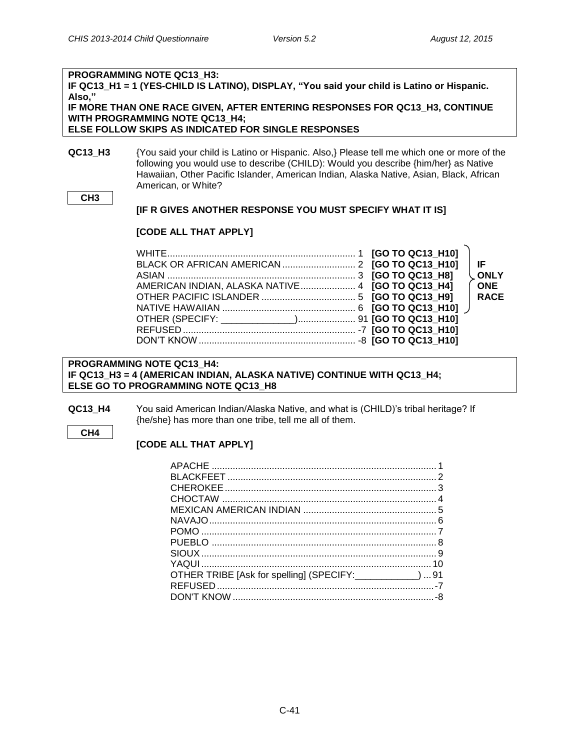### **PROGRAMMING NOTE QC13\_H3: IF QC13\_H1 = 1 (YES-CHILD IS LATINO), DISPLAY, "You said your child is Latino or Hispanic. Also," IF MORE THAN ONE RACE GIVEN, AFTER ENTERING RESPONSES FOR QC13\_H3, CONTINUE WITH PROGRAMMING NOTE QC13\_H4; ELSE FOLLOW SKIPS AS INDICATED FOR SINGLE RESPONSES**

**QC13\_H3** {You said your child is Latino or Hispanic. Also,} Please tell me which one or more of the following you would use to describe (CHILD): Would you describe {him/her} as Native Hawaiian, Other Pacific Islander, American Indian, Alaska Native, Asian, Black, African American, or White?

#### **CH3**

#### **[IF R GIVES ANOTHER RESPONSE YOU MUST SPECIFY WHAT IT IS]**

#### **[CODE ALL THAT APPLY]**

|                                                  | l IF.       |
|--------------------------------------------------|-------------|
|                                                  | <b>ONLY</b> |
| AMERICAN INDIAN, ALASKA NATIVE 4 [GO TO QC13_H4] | <b>ONE</b>  |
|                                                  | <b>RACE</b> |
|                                                  |             |
|                                                  |             |
|                                                  |             |
|                                                  |             |

#### **PROGRAMMING NOTE QC13\_H4: IF QC13\_H3 = 4 (AMERICAN INDIAN, ALASKA NATIVE) CONTINUE WITH QC13\_H4; ELSE GO TO PROGRAMMING NOTE QC13\_H8**

**QC13\_H4** You said American Indian/Alaska Native, and what is (CHILD)'s tribal heritage? If {he/she} has more than one tribe, tell me all of them.

#### **CH4**

#### **[CODE ALL THAT APPLY]**

| OTHER TRIBE [Ask for spelling] (SPECIFY: _____________)  91 |  |
|-------------------------------------------------------------|--|
|                                                             |  |
|                                                             |  |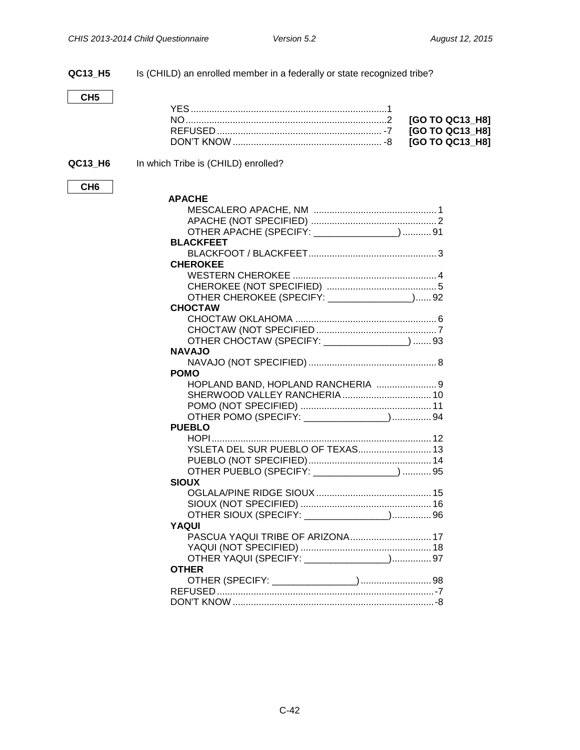**QC13\_H5** Is (CHILD) an enrolled member in a federally or state recognized tribe?

**CH5**

**CH6**

**QC13\_H6** In which Tribe is (CHILD) enrolled?

| <b>APACHE</b>                                 |  |
|-----------------------------------------------|--|
|                                               |  |
|                                               |  |
| OTHER APACHE (SPECIFY: _______________)  91   |  |
| <b>BLACKFEET</b>                              |  |
|                                               |  |
| <b>CHEROKEE</b>                               |  |
|                                               |  |
|                                               |  |
| OTHER CHEROKEE (SPECIFY: ________________) 92 |  |
| <b>CHOCTAW</b>                                |  |
|                                               |  |
|                                               |  |
| OTHER CHOCTAW (SPECIFY: _______________) 93   |  |
| <b>NAVAJO</b>                                 |  |
|                                               |  |
| <b>POMO</b>                                   |  |
| HOPLAND BAND, HOPLAND RANCHERIA  9            |  |
|                                               |  |
|                                               |  |
| OTHER POMO (SPECIFY: ________________) 94     |  |
| <b>PUEBLO</b>                                 |  |
|                                               |  |
| YSLETA DEL SUR PUEBLO OF TEXAS 13             |  |
|                                               |  |
| OTHER PUEBLO (SPECIFY: )95                    |  |
| <b>SIOUX</b>                                  |  |
|                                               |  |
|                                               |  |
|                                               |  |
| <b>YAQUI</b>                                  |  |
| PASCUA YAQUI TRIBE OF ARIZONA 17              |  |
|                                               |  |
| OTHER YAQUI (SPECIFY: _______________)97      |  |
| <b>OTHER</b>                                  |  |
|                                               |  |
|                                               |  |
|                                               |  |
|                                               |  |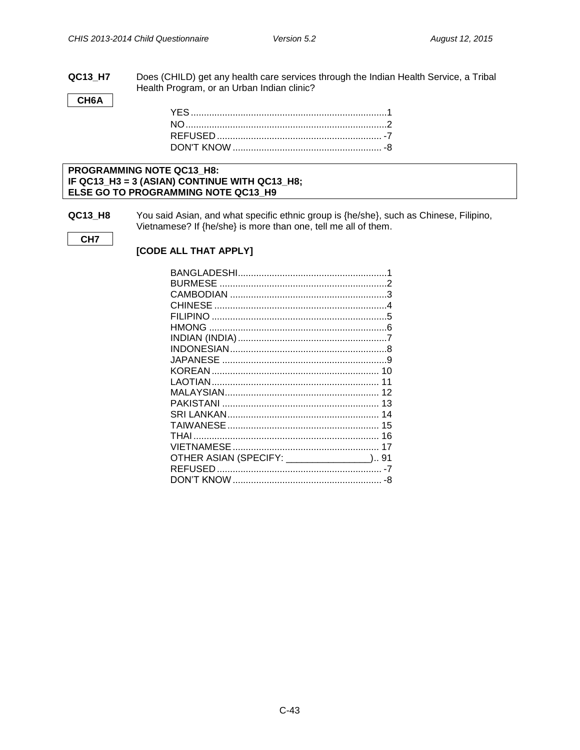QC13\_H7 Does (CHILD) get any health care services through the Indian Health Service, a Tribal Health Program, or an Urban Indian clinic?

CH6A

#### PROGRAMMING NOTE QC13\_H8: IF QC13\_H3 = 3 (ASIAN) CONTINUE WITH QC13\_H8; ELSE GO TO PROGRAMMING NOTE QC13\_H9

You said Asian, and what specific ethnic group is {he/she}, such as Chinese, Filipino, **QC13\_H8** Vietnamese? If {he/she} is more than one, tell me all of them.

CH<sub>7</sub>

[CODE ALL THAT APPLY]

| OTHER ASIAN (SPECIFY: ________________) 91 |  |
|--------------------------------------------|--|
|                                            |  |
|                                            |  |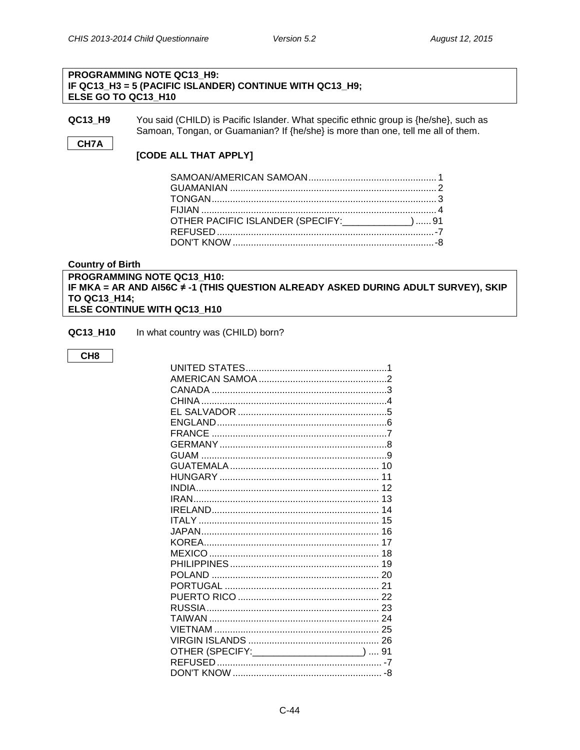#### PROGRAMMING NOTE QC13 H9: IF QC13\_H3 = 5 (PACIFIC ISLANDER) CONTINUE WITH QC13\_H9; ELSE GO TO QC13 H10

**QC13 H9** You said (CHILD) is Pacific Islander. What specific ethnic group is {he/she}, such as Samoan, Tongan, or Guamanian? If {he/she} is more than one, tell me all of them.

#### CH7A

#### [CODE ALL THAT APPLY]

| OTHER PACIFIC ISLANDER (SPECIFY: 1917) 91 |  |
|-------------------------------------------|--|
|                                           |  |
|                                           |  |
|                                           |  |

#### <span id="page-43-0"></span>**Country of Birth**

#### PROGRAMMING NOTE QC13\_H10: IF MKA = AR AND AI56C ≠ -1 (THIS QUESTION ALREADY ASKED DURING ADULT SURVEY), SKIP TO QC13\_H14; ELSE CONTINUE WITH QC13 H10

QC13\_H10 In what country was (CHILD) born?

#### CH<sub>8</sub>

| OTHER (SPECIFY: _____________________)  91 |  |
|--------------------------------------------|--|
|                                            |  |
|                                            |  |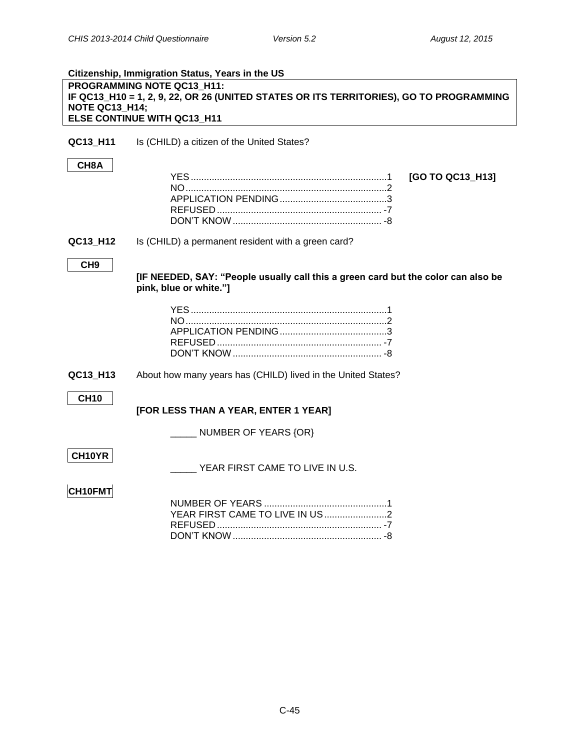<span id="page-44-0"></span>

|                 | Citizenship, Immigration Status, Years in the US                                       |                  |
|-----------------|----------------------------------------------------------------------------------------|------------------|
|                 | PROGRAMMING NOTE QC13 H11:                                                             |                  |
|                 | IF QC13_H10 = 1, 2, 9, 22, OR 26 (UNITED STATES OR ITS TERRITORIES), GO TO PROGRAMMING |                  |
| NOTE QC13 H14;  |                                                                                        |                  |
|                 | ELSE CONTINUE WITH QC13_H11                                                            |                  |
|                 |                                                                                        |                  |
| QC13_H11        | Is (CHILD) a citizen of the United States?                                             |                  |
|                 |                                                                                        |                  |
| CH8A            |                                                                                        |                  |
|                 |                                                                                        | [GO TO QC13_H13] |
|                 |                                                                                        |                  |
|                 |                                                                                        |                  |
|                 |                                                                                        |                  |
|                 |                                                                                        |                  |
|                 |                                                                                        |                  |
| QC13_H12        | Is (CHILD) a permanent resident with a green card?                                     |                  |
|                 |                                                                                        |                  |
| CH <sub>9</sub> |                                                                                        |                  |
|                 | [IF NEEDED, SAY: "People usually call this a green card but the color can also be      |                  |
|                 | pink, blue or white."]                                                                 |                  |
|                 |                                                                                        |                  |
|                 |                                                                                        |                  |
|                 |                                                                                        |                  |
|                 |                                                                                        |                  |
|                 |                                                                                        |                  |
|                 |                                                                                        |                  |
| QC13_H13        | About how many years has (CHILD) lived in the United States?                           |                  |
|                 |                                                                                        |                  |
| <b>CH10</b>     |                                                                                        |                  |
|                 | [FOR LESS THAN A YEAR, ENTER 1 YEAR]                                                   |                  |
|                 |                                                                                        |                  |
|                 | NUMBER OF YEARS {OR}                                                                   |                  |
|                 |                                                                                        |                  |
| CH10YR          |                                                                                        |                  |
|                 | YEAR FIRST CAME TO LIVE IN U.S.                                                        |                  |
|                 |                                                                                        |                  |
| CH10FMT         |                                                                                        |                  |
|                 |                                                                                        |                  |
|                 |                                                                                        |                  |
|                 |                                                                                        |                  |
|                 |                                                                                        |                  |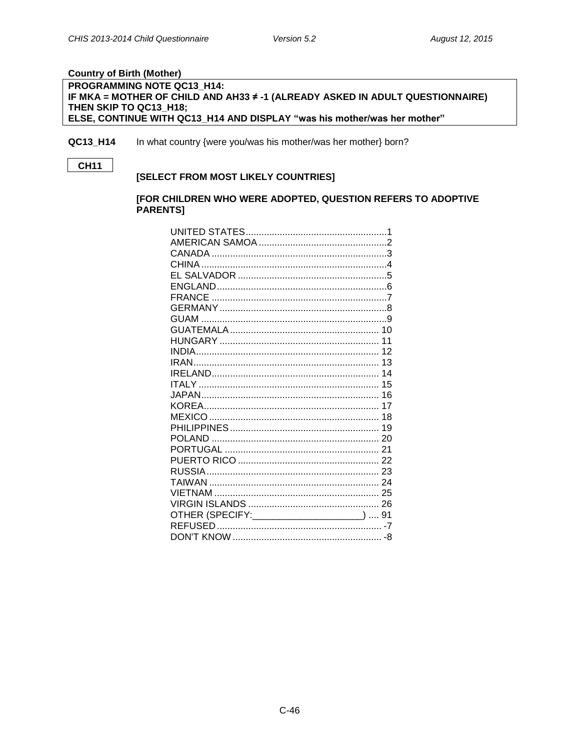#### <span id="page-45-0"></span>**Country of Birth (Mother)**

#### PROGRAMMING NOTE QC13\_H14: IF MKA = MOTHER OF CHILD AND AH33 ≠ -1 (ALREADY ASKED IN ADULT QUESTIONNAIRE) THEN SKIP TO QC13 H18; ELSE, CONTINUE WITH QC13\_H14 AND DISPLAY "was his mother/was her mother"

QC13 H14 In what country {were you/was his mother/was her mother} born?

CH11

#### [SELECT FROM MOST LIKELY COUNTRIES]

#### [FOR CHILDREN WHO WERE ADOPTED, QUESTION REFERS TO ADOPTIVE **PARENTS1**

| OTHER (SPECIFY: _____________________)  91 |  |
|--------------------------------------------|--|
|                                            |  |
|                                            |  |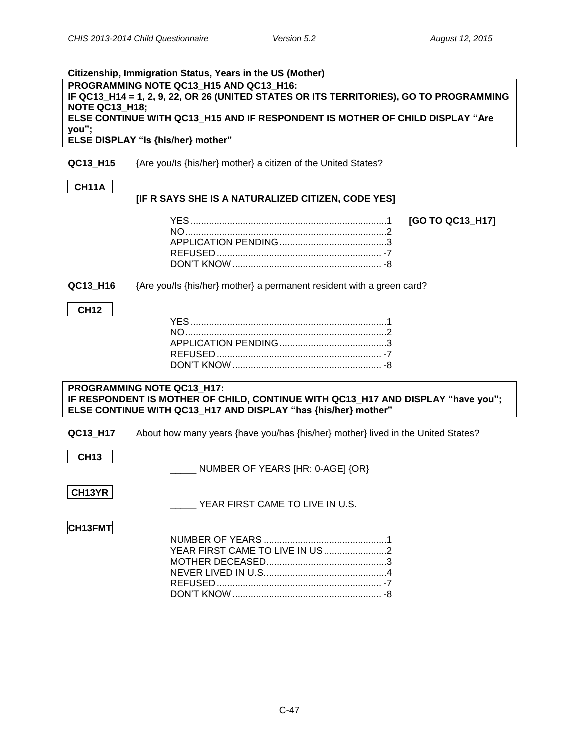<span id="page-46-0"></span>

| Citizenship, Immigration Status, Years in the US (Mother) |                                                                                        |  |
|-----------------------------------------------------------|----------------------------------------------------------------------------------------|--|
| PROGRAMMING NOTE QC13 H15 AND QC13 H16:                   |                                                                                        |  |
|                                                           | IF QC13_H14 = 1, 2, 9, 22, OR 26 (UNITED STATES OR ITS TERRITORIES), GO TO PROGRAMMING |  |
| <b>NOTE QC13 H18;</b>                                     |                                                                                        |  |
|                                                           | ELSE CONTINUE WITH QC13_H15 AND IF RESPONDENT IS MOTHER OF CHILD DISPLAY "Are          |  |
| you";                                                     | ELSE DISPLAY "Is {his/her} mother"                                                     |  |
|                                                           |                                                                                        |  |
| QC13 H15                                                  | {Are you/Is {his/her} mother} a citizen of the United States?                          |  |
|                                                           |                                                                                        |  |
| <b>CH11A</b>                                              |                                                                                        |  |
|                                                           | [IF R SAYS SHE IS A NATURALIZED CITIZEN, CODE YES]                                     |  |
|                                                           |                                                                                        |  |
|                                                           | [GO TO QC13_H17]                                                                       |  |
|                                                           |                                                                                        |  |
|                                                           |                                                                                        |  |
|                                                           |                                                                                        |  |
|                                                           |                                                                                        |  |
| QC13 H16                                                  |                                                                                        |  |
|                                                           | {Are you/Is {his/her} mother} a permanent resident with a green card?                  |  |
| <b>CH12</b>                                               |                                                                                        |  |
|                                                           |                                                                                        |  |
|                                                           |                                                                                        |  |
|                                                           |                                                                                        |  |
|                                                           |                                                                                        |  |
|                                                           |                                                                                        |  |
|                                                           |                                                                                        |  |
|                                                           | PROGRAMMING NOTE QC13_H17:                                                             |  |
|                                                           | IF RESPONDENT IS MOTHER OF CHILD, CONTINUE WITH QC13_H17 AND DISPLAY "have you";       |  |
|                                                           | ELSE CONTINUE WITH QC13_H17 AND DISPLAY "has {his/her} mother"                         |  |
|                                                           |                                                                                        |  |
| QC13_H17                                                  | About how many years {have you/has {his/her} mother} lived in the United States?       |  |
|                                                           |                                                                                        |  |
| <b>CH13</b>                                               |                                                                                        |  |
|                                                           | NUMBER OF YEARS [HR: 0-AGE] {OR}                                                       |  |
|                                                           |                                                                                        |  |
| CH13YR                                                    |                                                                                        |  |
|                                                           | YEAR FIRST CAME TO LIVE IN U.S.                                                        |  |
|                                                           |                                                                                        |  |
| CH13FMT                                                   |                                                                                        |  |
|                                                           |                                                                                        |  |
|                                                           |                                                                                        |  |
|                                                           |                                                                                        |  |
|                                                           |                                                                                        |  |
|                                                           |                                                                                        |  |
|                                                           |                                                                                        |  |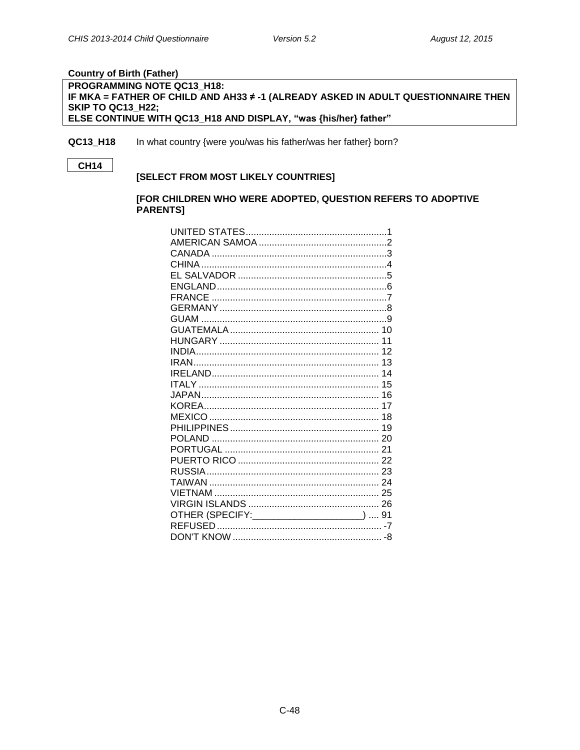#### <span id="page-47-0"></span>**Country of Birth (Father)**

#### PROGRAMMING NOTE QC13\_H18: IF MKA = FATHER OF CHILD AND AH33 ≠ -1 (ALREADY ASKED IN ADULT QUESTIONNAIRE THEN **SKIP TO QC13 H22;** ELSE CONTINUE WITH QC13\_H18 AND DISPLAY, "was {his/her} father"

QC13 H18 In what country {were you/was his father/was her father} born?

#### **CH14**

#### [SELECT FROM MOST LIKELY COUNTRIES]

#### [FOR CHILDREN WHO WERE ADOPTED, QUESTION REFERS TO ADOPTIVE **PARENTS1**

| OTHER (SPECIFY: _____________________)  91 |  |
|--------------------------------------------|--|
|                                            |  |
|                                            |  |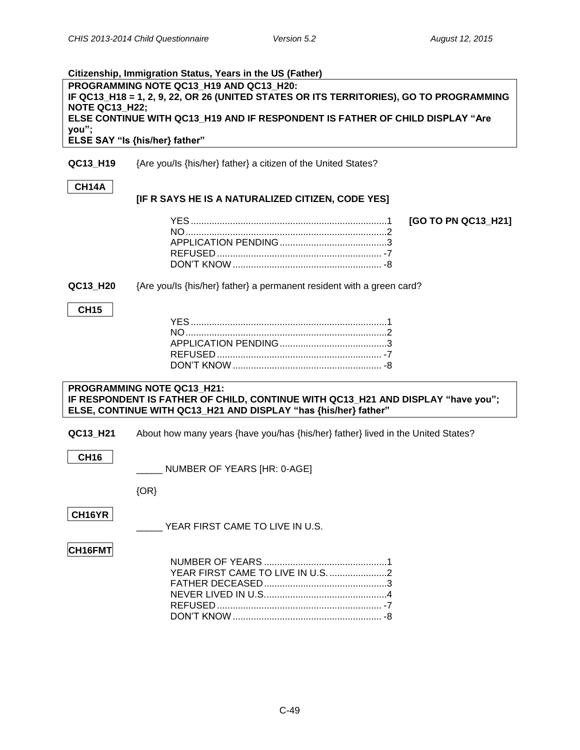<span id="page-48-0"></span>

|                                                                                                                                                            | Citizenship, Immigration Status, Years in the US (Father)                        |                     |
|------------------------------------------------------------------------------------------------------------------------------------------------------------|----------------------------------------------------------------------------------|---------------------|
| PROGRAMMING NOTE QC13 H19 AND QC13 H20:<br>IF QC13_H18 = 1, 2, 9, 22, OR 26 (UNITED STATES OR ITS TERRITORIES), GO TO PROGRAMMING<br><b>NOTE QC13_H22;</b> |                                                                                  |                     |
|                                                                                                                                                            | ELSE CONTINUE WITH QC13_H19 AND IF RESPONDENT IS FATHER OF CHILD DISPLAY "Are    |                     |
| you";                                                                                                                                                      |                                                                                  |                     |
|                                                                                                                                                            | ELSE SAY "Is {his/her} father"                                                   |                     |
| QC13_H19                                                                                                                                                   | {Are you/ls {his/her} father} a citizen of the United States?                    |                     |
| CH14A                                                                                                                                                      |                                                                                  |                     |
|                                                                                                                                                            | [IF R SAYS HE IS A NATURALIZED CITIZEN, CODE YES]                                |                     |
|                                                                                                                                                            |                                                                                  | [GO TO PN QC13_H21] |
|                                                                                                                                                            |                                                                                  |                     |
|                                                                                                                                                            |                                                                                  |                     |
|                                                                                                                                                            |                                                                                  |                     |
| QC13_H20                                                                                                                                                   | {Are you/ls {his/her} father} a permanent resident with a green card?            |                     |
| <b>CH15</b>                                                                                                                                                |                                                                                  |                     |
|                                                                                                                                                            |                                                                                  |                     |
|                                                                                                                                                            |                                                                                  |                     |
|                                                                                                                                                            |                                                                                  |                     |
|                                                                                                                                                            |                                                                                  |                     |
|                                                                                                                                                            | PROGRAMMING NOTE QC13_H21:                                                       |                     |
|                                                                                                                                                            | IF RESPONDENT IS FATHER OF CHILD, CONTINUE WITH QC13_H21 AND DISPLAY "have you"; |                     |
|                                                                                                                                                            | ELSE, CONTINUE WITH QC13_H21 AND DISPLAY "has {his/her} father"                  |                     |
| QC13_H21                                                                                                                                                   | About how many years {have you/has {his/her} father} lived in the United States? |                     |
| <b>CH16</b>                                                                                                                                                |                                                                                  |                     |
|                                                                                                                                                            | NUMBER OF YEARS [HR: 0-AGE]                                                      |                     |
|                                                                                                                                                            | $\{OR\}$                                                                         |                     |
| CH16YR                                                                                                                                                     |                                                                                  |                     |
|                                                                                                                                                            | YEAR FIRST CAME TO LIVE IN U.S.                                                  |                     |
| CH16FMT                                                                                                                                                    |                                                                                  |                     |
|                                                                                                                                                            |                                                                                  |                     |
|                                                                                                                                                            |                                                                                  |                     |
|                                                                                                                                                            |                                                                                  |                     |
|                                                                                                                                                            |                                                                                  |                     |

DON'T KNOW......................................................... -8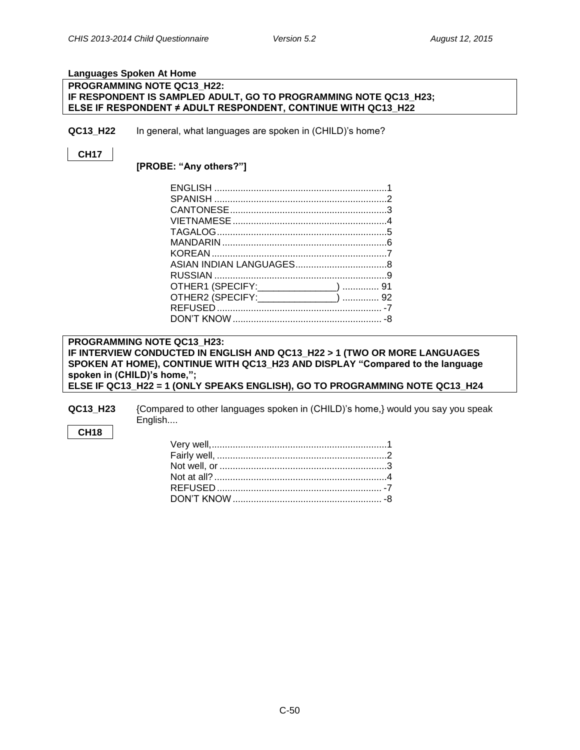#### <span id="page-49-0"></span>**Languages Spoken At Home**

#### **PROGRAMMING NOTE QC13\_H22: IF RESPONDENT IS SAMPLED ADULT, GO TO PROGRAMMING NOTE QC13\_H23; ELSE IF RESPONDENT ≠ ADULT RESPONDENT, CONTINUE WITH QC13\_H22**

**QC13 H22** In general, what languages are spoken in (CHILD)'s home?

#### **CH17**

**[PROBE: "Any others?"]**

| OTHER1 (SPECIFY: ________________)  91 |  |
|----------------------------------------|--|
| OTHER2 (SPECIFY: _______________)  92  |  |
|                                        |  |
|                                        |  |
|                                        |  |

#### **PROGRAMMING NOTE QC13\_H23: IF INTERVIEW CONDUCTED IN ENGLISH AND QC13\_H22 > 1 (TWO OR MORE LANGUAGES SPOKEN AT HOME), CONTINUE WITH QC13\_H23 AND DISPLAY "Compared to the language spoken in (CHILD)'s home,"; ELSE IF QC13\_H22 = 1 (ONLY SPEAKS ENGLISH), GO TO PROGRAMMING NOTE QC13\_H24**

**QC13\_H23** {Compared to other languages spoken in (CHILD)'s home,} would you say you speak English....

#### **CH18**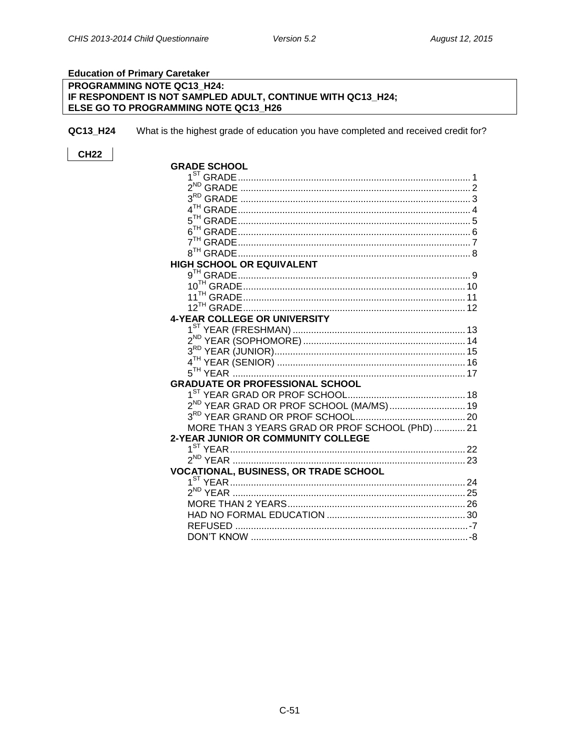#### <span id="page-50-0"></span>**Education of Primary Caretaker**

## PROGRAMMING NOTE QC13\_H24: IF RESPONDENT IS NOT SAMPLED ADULT, CONTINUE WITH QC13\_H24;<br>ELSE GO TO PROGRAMMING NOTE QC13\_H26

QC13\_H24 What is the highest grade of education you have completed and received credit for?

| <b>GRADE SCHOOL</b>                                 |  |
|-----------------------------------------------------|--|
|                                                     |  |
|                                                     |  |
|                                                     |  |
|                                                     |  |
|                                                     |  |
|                                                     |  |
|                                                     |  |
|                                                     |  |
| <b>HIGH SCHOOL OR EQUIVALENT</b>                    |  |
|                                                     |  |
|                                                     |  |
|                                                     |  |
|                                                     |  |
| <b>4-YEAR COLLEGE OR UNIVERSITY</b>                 |  |
|                                                     |  |
|                                                     |  |
|                                                     |  |
|                                                     |  |
|                                                     |  |
| <b>GRADUATE OR PROFESSIONAL SCHOOL</b>              |  |
|                                                     |  |
| 2 <sup>ND</sup> YEAR GRAD OR PROF SCHOOL (MA/MS) 19 |  |
|                                                     |  |
| MORE THAN 3 YEARS GRAD OR PROF SCHOOL (PhD) 21      |  |
| 2-YEAR JUNIOR OR COMMUNITY COLLEGE                  |  |
|                                                     |  |
|                                                     |  |
| <b>VOCATIONAL, BUSINESS, OR TRADE SCHOOL</b>        |  |
|                                                     |  |
|                                                     |  |
|                                                     |  |
|                                                     |  |
|                                                     |  |
| DON'T KNOW                                          |  |